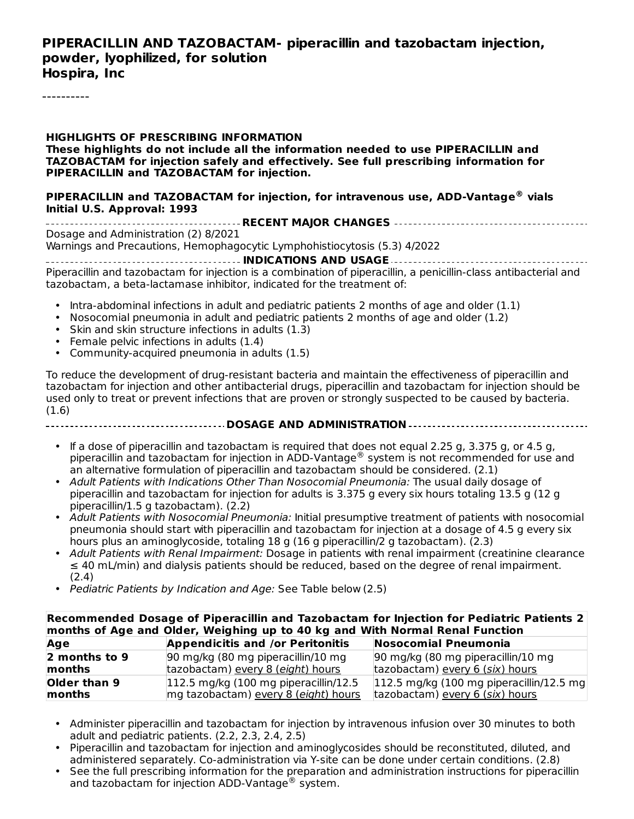#### **PIPERACILLIN AND TAZOBACTAM- piperacillin and tazobactam injection, powder, lyophilized, for solution Hospira, Inc**

----------

**HIGHLIGHTS OF PRESCRIBING INFORMATION These highlights do not include all the information needed to use PIPERACILLIN and TAZOBACTAM for injection safely and effectively. See full prescribing information for PIPERACILLIN and TAZOBACTAM for injection.**

#### **PIPERACILLIN and TAZOBACTAM for injection, for intravenous use, ADD-Vantage vials ® Initial U.S. Approval: 1993**

**RECENT MAJOR CHANGES** Dosage and Administration (2) 8/2021

Warnings and Precautions, Hemophagocytic Lymphohistiocytosis (5.3) 4/2022

**INDICATIONS AND USAGE** Piperacillin and tazobactam for injection is a combination of piperacillin, a penicillin-class antibacterial and tazobactam, a beta-lactamase inhibitor, indicated for the treatment of:

- Intra-abdominal infections in adult and pediatric patients 2 months of age and older (1.1)
- Nosocomial pneumonia in adult and pediatric patients 2 months of age and older (1.2)
- Skin and skin structure infections in adults (1.3)
- Female pelvic infections in adults (1.4)
- Community-acquired pneumonia in adults (1.5)

To reduce the development of drug-resistant bacteria and maintain the effectiveness of piperacillin and tazobactam for injection and other antibacterial drugs, piperacillin and tazobactam for injection should be used only to treat or prevent infections that are proven or strongly suspected to be caused by bacteria. (1.6)

- **DOSAGE AND ADMINISTRATION**
	- If a dose of piperacillin and tazobactam is required that does not equal 2.25 g, 3.375 g, or 4.5 g, piperacillin and tazobactam for injection in ADD-Vantage® system is not recommended for use and an alternative formulation of piperacillin and tazobactam should be considered. (2.1)
	- Adult Patients with Indications Other Than Nosocomial Pneumonia: The usual daily dosage of piperacillin and tazobactam for injection for adults is 3.375 g every six hours totaling 13.5 g (12 g piperacillin/1.5 g tazobactam). (2.2)
	- Adult Patients with Nosocomial Pneumonia: Initial presumptive treatment of patients with nosocomial pneumonia should start with piperacillin and tazobactam for injection at a dosage of 4.5 g every six hours plus an aminoglycoside, totaling 18 g (16 g piperacillin/2 g tazobactam). (2.3)
	- Adult Patients with Renal Impairment: Dosage in patients with renal impairment (creatinine clearance ≤ 40 mL/min) and dialysis patients should be reduced, based on the degree of renal impairment. (2.4)
	- Pediatric Patients by Indication and Age: See Table below (2.5)

| Recommended Dosage of Piperacillin and Tazobactam for Injection for Pediatric Patients 2<br>months of Age and Older, Weighing up to 40 kg and With Normal Renal Function |                                                  |                                           |  |  |  |
|--------------------------------------------------------------------------------------------------------------------------------------------------------------------------|--------------------------------------------------|-------------------------------------------|--|--|--|
| Age                                                                                                                                                                      | <b>Appendicitis and /or Peritonitis</b>          | Nosocomial Pneumonia                      |  |  |  |
| 2 months to 9                                                                                                                                                            | 90 mg/kg (80 mg piperacillin/10 mg               | 90 mg/kg (80 mg piperacillin/10 mg        |  |  |  |
| months                                                                                                                                                                   | tazobactam) every 8 (eight) hours                | tazobactam) every 6 (six) hours           |  |  |  |
| Older than 9                                                                                                                                                             | $ 112.5 \text{ mg/kg}$ (100 mg piperacillin/12.5 | 112.5 mg/kg (100 mg piperacillin/12.5 mg) |  |  |  |
| months                                                                                                                                                                   | mg tazobactam) every 8 (eight) hours             | tazobactam) every 6 (six) hours           |  |  |  |

- Administer piperacillin and tazobactam for injection by intravenous infusion over 30 minutes to both adult and pediatric patients. (2.2, 2.3, 2.4, 2.5)
- Piperacillin and tazobactam for injection and aminoglycosides should be reconstituted, diluted, and administered separately. Co-administration via Y-site can be done under certain conditions. (2.8)
- See the full prescribing information for the preparation and administration instructions for piperacillin and tazobactam for injection ADD-Vantage<sup>®</sup> system.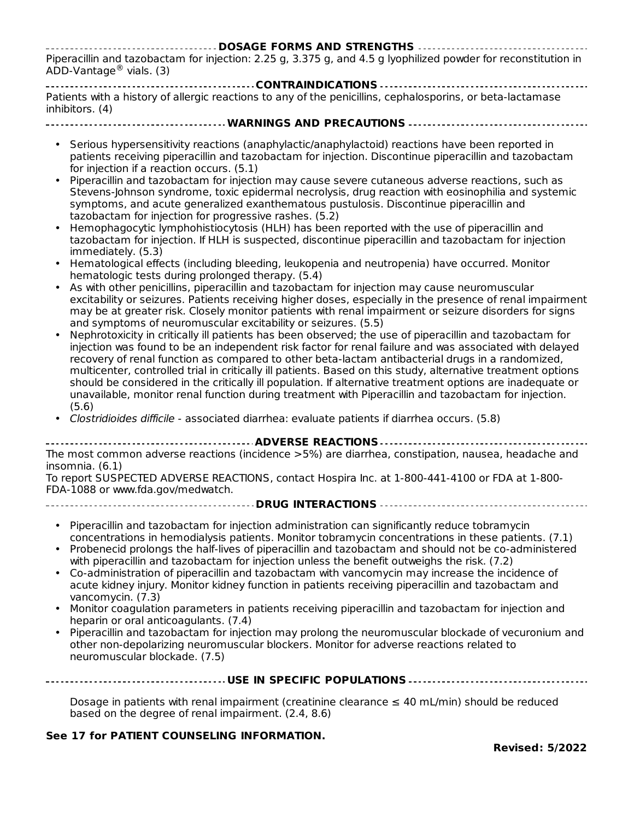#### **DOSAGE FORMS AND STRENGTHS** Piperacillin and tazobactam for injection: 2.25 g, 3.375 g, and 4.5 g lyophilized powder for reconstitution in  $ADD-V$ antage $^{\circledR}$  vials. (3)

**CONTRAINDICATIONS** Patients with a history of allergic reactions to any of the penicillins, cephalosporins, or beta-lactamase inhibitors. (4)

**WARNINGS AND PRECAUTIONS**

- Serious hypersensitivity reactions (anaphylactic/anaphylactoid) reactions have been reported in patients receiving piperacillin and tazobactam for injection. Discontinue piperacillin and tazobactam for injection if a reaction occurs. (5.1)
- Piperacillin and tazobactam for injection may cause severe cutaneous adverse reactions, such as Stevens-Johnson syndrome, toxic epidermal necrolysis, drug reaction with eosinophilia and systemic symptoms, and acute generalized exanthematous pustulosis. Discontinue piperacillin and tazobactam for injection for progressive rashes. (5.2)
- Hemophagocytic lymphohistiocytosis (HLH) has been reported with the use of piperacillin and tazobactam for injection. If HLH is suspected, discontinue piperacillin and tazobactam for injection immediately. (5.3)
- Hematological effects (including bleeding, leukopenia and neutropenia) have occurred. Monitor hematologic tests during prolonged therapy. (5.4)
- As with other penicillins, piperacillin and tazobactam for injection may cause neuromuscular excitability or seizures. Patients receiving higher doses, especially in the presence of renal impairment may be at greater risk. Closely monitor patients with renal impairment or seizure disorders for signs and symptoms of neuromuscular excitability or seizures. (5.5)
- Nephrotoxicity in critically ill patients has been observed; the use of piperacillin and tazobactam for injection was found to be an independent risk factor for renal failure and was associated with delayed recovery of renal function as compared to other beta-lactam antibacterial drugs in a randomized, multicenter, controlled trial in critically ill patients. Based on this study, alternative treatment options should be considered in the critically ill population. If alternative treatment options are inadequate or unavailable, monitor renal function during treatment with Piperacillin and tazobactam for injection. (5.6)
- Clostridioides difficile associated diarrhea: evaluate patients if diarrhea occurs. (5.8)

#### **ADVERSE REACTIONS**

The most common adverse reactions (incidence >5%) are diarrhea, constipation, nausea, headache and insomnia. (6.1)

To report SUSPECTED ADVERSE REACTIONS, contact Hospira Inc. at 1-800-441-4100 or FDA at 1-800- FDA-1088 or www.fda.gov/medwatch.

- **DRUG INTERACTIONS**
	- Piperacillin and tazobactam for injection administration can significantly reduce tobramycin concentrations in hemodialysis patients. Monitor tobramycin concentrations in these patients. (7.1)
	- Probenecid prolongs the half-lives of piperacillin and tazobactam and should not be co-administered with piperacillin and tazobactam for injection unless the benefit outweighs the risk. (7.2)
	- Co-administration of piperacillin and tazobactam with vancomycin may increase the incidence of acute kidney injury. Monitor kidney function in patients receiving piperacillin and tazobactam and vancomycin. (7.3)
	- Monitor coagulation parameters in patients receiving piperacillin and tazobactam for injection and heparin or oral anticoagulants. (7.4)
	- Piperacillin and tazobactam for injection may prolong the neuromuscular blockade of vecuronium and other non-depolarizing neuromuscular blockers. Monitor for adverse reactions related to neuromuscular blockade. (7.5)

**USE IN SPECIFIC POPULATIONS**

Dosage in patients with renal impairment (creatinine clearance  $\leq 40$  mL/min) should be reduced based on the degree of renal impairment. (2.4, 8.6)

#### **See 17 for PATIENT COUNSELING INFORMATION.**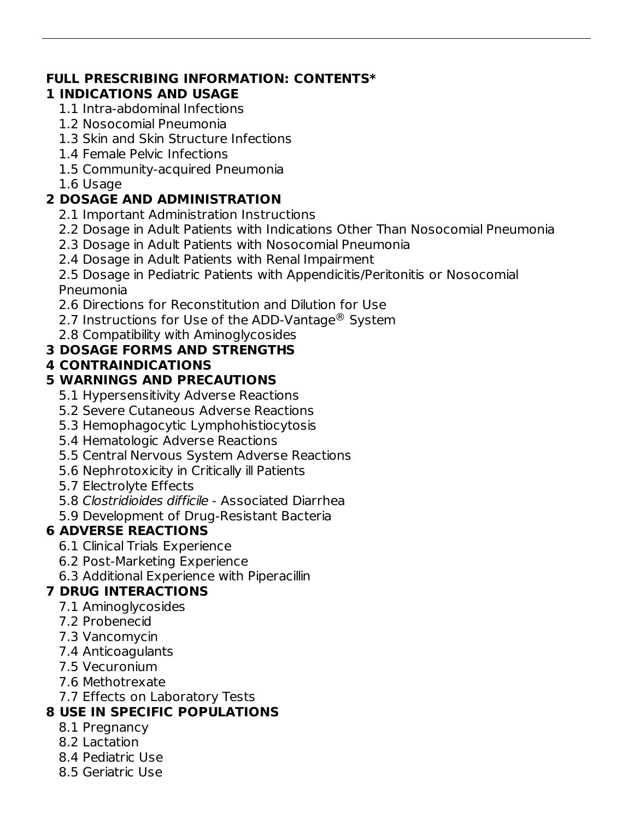### **FULL PRESCRIBING INFORMATION: CONTENTS\***

#### **1 INDICATIONS AND USAGE**

- 1.1 Intra-abdominal Infections
- 1.2 Nosocomial Pneumonia
- 1.3 Skin and Skin Structure Infections
- 1.4 Female Pelvic Infections
- 1.5 Community-acquired Pneumonia
- 1.6 Usage

# **2 DOSAGE AND ADMINISTRATION**

- 2.1 Important Administration Instructions
- 2.2 Dosage in Adult Patients with Indications Other Than Nosocomial Pneumonia
- 2.3 Dosage in Adult Patients with Nosocomial Pneumonia
- 2.4 Dosage in Adult Patients with Renal Impairment

2.5 Dosage in Pediatric Patients with Appendicitis/Peritonitis or Nosocomial Pneumonia

- 2.6 Directions for Reconstitution and Dilution for Use
- 2.7 Instructions for Use of the ADD-Vantage $^{\circledR}$  System
- 2.8 Compatibility with Aminoglycosides

# **3 DOSAGE FORMS AND STRENGTHS**

### **4 CONTRAINDICATIONS**

# **5 WARNINGS AND PRECAUTIONS**

- 5.1 Hypersensitivity Adverse Reactions
- 5.2 Severe Cutaneous Adverse Reactions
- 5.3 Hemophagocytic Lymphohistiocytosis
- 5.4 Hematologic Adverse Reactions
- 5.5 Central Nervous System Adverse Reactions
- 5.6 Nephrotoxicity in Critically ill Patients
- 5.7 Electrolyte Effects
- 5.8 Clostridioides difficile Associated Diarrhea
- 5.9 Development of Drug-Resistant Bacteria

# **6 ADVERSE REACTIONS**

- 6.1 Clinical Trials Experience
- 6.2 Post-Marketing Experience
- 6.3 Additional Experience with Piperacillin

# **7 DRUG INTERACTIONS**

- 7.1 Aminoglycosides
- 7.2 Probenecid
- 7.3 Vancomycin
- 7.4 Anticoagulants
- 7.5 Vecuronium
- 7.6 Methotrexate
- 7.7 Effects on Laboratory Tests

# **8 USE IN SPECIFIC POPULATIONS**

- 8.1 Pregnancy
- 8.2 Lactation
- 8.4 Pediatric Use
- 8.5 Geriatric Use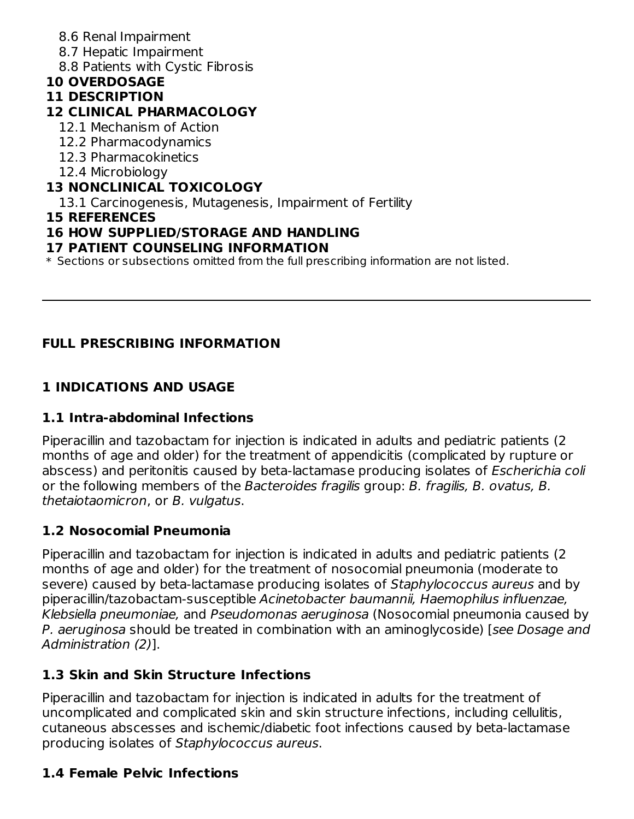- 8.6 Renal Impairment
- 8.7 Hepatic Impairment
- 8.8 Patients with Cystic Fibrosis

### **10 OVERDOSAGE**

#### **11 DESCRIPTION**

### **12 CLINICAL PHARMACOLOGY**

- 12.1 Mechanism of Action
- 12.2 Pharmacodynamics
- 12.3 Pharmacokinetics
- 12.4 Microbiology

### **13 NONCLINICAL TOXICOLOGY**

13.1 Carcinogenesis, Mutagenesis, Impairment of Fertility

**15 REFERENCES**

### **16 HOW SUPPLIED/STORAGE AND HANDLING**

#### **17 PATIENT COUNSELING INFORMATION**

 $\ast$  Sections or subsections omitted from the full prescribing information are not listed.

# **FULL PRESCRIBING INFORMATION**

# **1 INDICATIONS AND USAGE**

# **1.1 Intra-abdominal Infections**

Piperacillin and tazobactam for injection is indicated in adults and pediatric patients (2 months of age and older) for the treatment of appendicitis (complicated by rupture or abscess) and peritonitis caused by beta-lactamase producing isolates of Escherichia coli or the following members of the Bacteroides fragilis group: B. fragilis, B. ovatus, B. thetaiotaomicron, or B. vulgatus.

# **1.2 Nosocomial Pneumonia**

Piperacillin and tazobactam for injection is indicated in adults and pediatric patients (2 months of age and older) for the treatment of nosocomial pneumonia (moderate to severe) caused by beta-lactamase producing isolates of Staphylococcus aureus and by piperacillin/tazobactam-susceptible Acinetobacter baumannii, Haemophilus influenzae, Klebsiella pneumoniae, and Pseudomonas aeruginosa (Nosocomial pneumonia caused by P. aeruginosa should be treated in combination with an aminoglycoside) [see Dosage and Administration (2)].

# **1.3 Skin and Skin Structure Infections**

Piperacillin and tazobactam for injection is indicated in adults for the treatment of uncomplicated and complicated skin and skin structure infections, including cellulitis, cutaneous abscesses and ischemic/diabetic foot infections caused by beta-lactamase producing isolates of Staphylococcus aureus.

# **1.4 Female Pelvic Infections**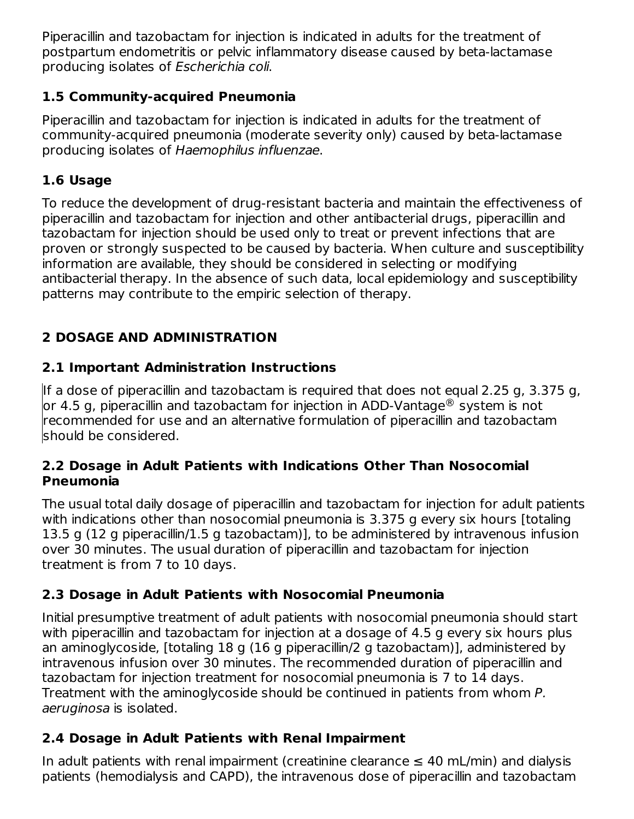Piperacillin and tazobactam for injection is indicated in adults for the treatment of postpartum endometritis or pelvic inflammatory disease caused by beta-lactamase producing isolates of Escherichia coli.

### **1.5 Community-acquired Pneumonia**

Piperacillin and tazobactam for injection is indicated in adults for the treatment of community-acquired pneumonia (moderate severity only) caused by beta-lactamase producing isolates of Haemophilus influenzae.

# **1.6 Usage**

To reduce the development of drug-resistant bacteria and maintain the effectiveness of piperacillin and tazobactam for injection and other antibacterial drugs, piperacillin and tazobactam for injection should be used only to treat or prevent infections that are proven or strongly suspected to be caused by bacteria. When culture and susceptibility information are available, they should be considered in selecting or modifying antibacterial therapy. In the absence of such data, local epidemiology and susceptibility patterns may contribute to the empiric selection of therapy.

# **2 DOSAGE AND ADMINISTRATION**

# **2.1 Important Administration Instructions**

If a dose of piperacillin and tazobactam is required that does not equal 2.25 g, 3.375 g, or 4.5 g, piperacillin and tazobactam for injection in ADD-Vantage $^\circledR$  system is not recommended for use and an alternative formulation of piperacillin and tazobactam should be considered.

#### **2.2 Dosage in Adult Patients with Indications Other Than Nosocomial Pneumonia**

The usual total daily dosage of piperacillin and tazobactam for injection for adult patients with indications other than nosocomial pneumonia is 3.375 g every six hours [totaling 13.5 g (12 g piperacillin/1.5 g tazobactam)], to be administered by intravenous infusion over 30 minutes. The usual duration of piperacillin and tazobactam for injection treatment is from 7 to 10 days.

# **2.3 Dosage in Adult Patients with Nosocomial Pneumonia**

Initial presumptive treatment of adult patients with nosocomial pneumonia should start with piperacillin and tazobactam for injection at a dosage of 4.5 g every six hours plus an aminoglycoside, [totaling 18 g (16 g piperacillin/2 g tazobactam)], administered by intravenous infusion over 30 minutes. The recommended duration of piperacillin and tazobactam for injection treatment for nosocomial pneumonia is 7 to 14 days. Treatment with the aminoglycoside should be continued in patients from whom P. aeruginosa is isolated.

# **2.4 Dosage in Adult Patients with Renal Impairment**

In adult patients with renal impairment (creatinine clearance  $\leq 40$  mL/min) and dialysis patients (hemodialysis and CAPD), the intravenous dose of piperacillin and tazobactam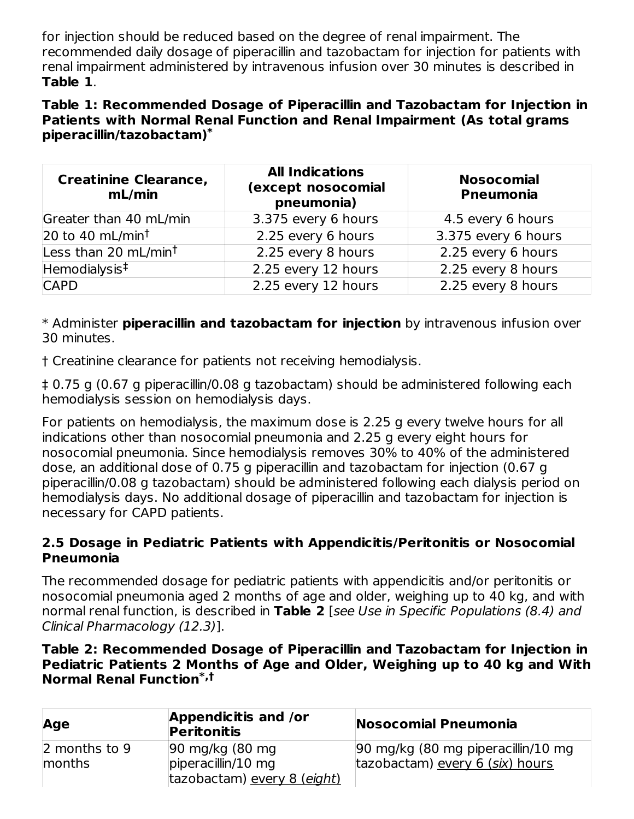for injection should be reduced based on the degree of renal impairment. The recommended daily dosage of piperacillin and tazobactam for injection for patients with renal impairment administered by intravenous infusion over 30 minutes is described in **Table 1**.

#### **Table 1: Recommended Dosage of Piperacillin and Tazobactam for Injection in Patients with Normal Renal Function and Renal Impairment (As total grams piperacillin/tazobactam) \***

| <b>Creatinine Clearance,</b><br>mL/min | <b>All Indications</b><br>(except nosocomial<br>pneumonia) | <b>Nosocomial</b><br><b>Pneumonia</b> |  |
|----------------------------------------|------------------------------------------------------------|---------------------------------------|--|
| Greater than 40 mL/min                 | 3.375 every 6 hours                                        | 4.5 every 6 hours                     |  |
| 20 to 40 mL/min <sup>t</sup>           | 2.25 every 6 hours                                         | 3.375 every 6 hours                   |  |
| Less than 20 mL/min <sup>t</sup>       | 2.25 every 8 hours                                         | 2.25 every 6 hours                    |  |
| Hemodialysis <sup>‡</sup>              | 2.25 every 12 hours                                        | 2.25 every 8 hours                    |  |
| <b>CAPD</b>                            | 2.25 every 12 hours                                        | 2.25 every 8 hours                    |  |

\* Administer **piperacillin and tazobactam for injection** by intravenous infusion over 30 minutes.

† Creatinine clearance for patients not receiving hemodialysis.

‡ 0.75 g (0.67 g piperacillin/0.08 g tazobactam) should be administered following each hemodialysis session on hemodialysis days.

For patients on hemodialysis, the maximum dose is 2.25 g every twelve hours for all indications other than nosocomial pneumonia and 2.25 g every eight hours for nosocomial pneumonia. Since hemodialysis removes 30% to 40% of the administered dose, an additional dose of 0.75 g piperacillin and tazobactam for injection (0.67 g piperacillin/0.08 g tazobactam) should be administered following each dialysis period on hemodialysis days. No additional dosage of piperacillin and tazobactam for injection is necessary for CAPD patients.

#### **2.5 Dosage in Pediatric Patients with Appendicitis/Peritonitis or Nosocomial Pneumonia**

The recommended dosage for pediatric patients with appendicitis and/or peritonitis or nosocomial pneumonia aged 2 months of age and older, weighing up to 40 kg, and with normal renal function, is described in **Table 2** [see Use in Specific Populations (8.4) and Clinical Pharmacology (12.3)].

#### **Table 2: Recommended Dosage of Piperacillin and Tazobactam for Injection in Pediatric Patients 2 Months of Age and Older, Weighing up to 40 kg and With Normal Renal Function \*,†**

| Age           | Appendicitis and /or<br><b>Peritonitis</b> | Nosocomial Pneumonia               |
|---------------|--------------------------------------------|------------------------------------|
| 2 months to 9 | 90 mg/kg (80 mg)                           | 90 mg/kg (80 mg piperacillin/10 mg |
| months        | $ $ piperacillin/10 mg                     | tazobactam) every 6 (six) hours    |
|               | tazobactam) every 8 (eight)                |                                    |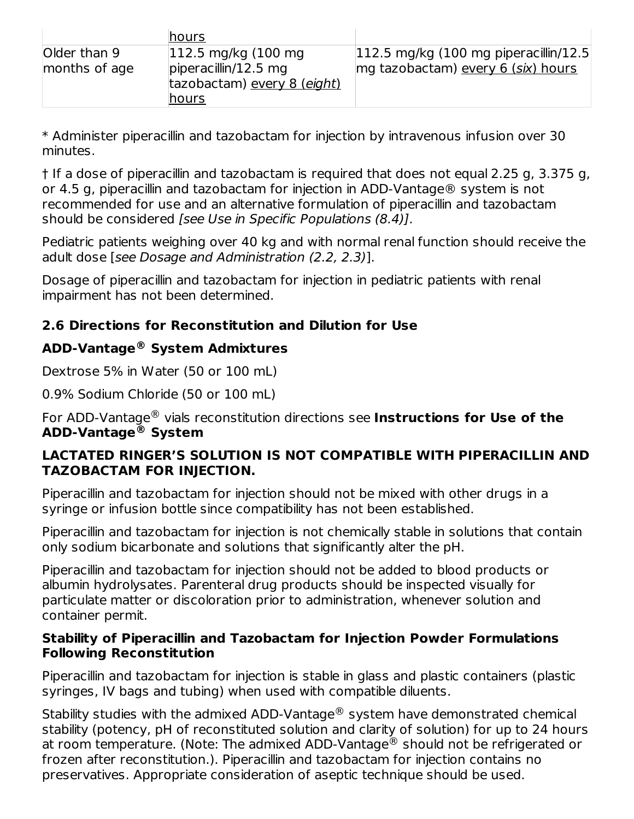|                               | hours                                                                                      |                                                                                         |
|-------------------------------|--------------------------------------------------------------------------------------------|-----------------------------------------------------------------------------------------|
| Older than 9<br>months of age | $ 112.5 \text{ mg/kg}$ (100 mg)<br>$ $ piperacillin/12.5 mg<br>tazobactam) every 8 (eight) | $ 112.5 \text{ mg/kg}$ (100 mg piperacillin/12.5)<br>mg tazobactam) every 6 (six) hours |
|                               | hours                                                                                      |                                                                                         |

\* Administer piperacillin and tazobactam for injection by intravenous infusion over 30 minutes.

† If a dose of piperacillin and tazobactam is required that does not equal 2.25 g, 3.375 g, or 4.5 g, piperacillin and tazobactam for injection in ADD-Vantage® system is not recommended for use and an alternative formulation of piperacillin and tazobactam should be considered [see Use in Specific Populations (8.4)].

Pediatric patients weighing over 40 kg and with normal renal function should receive the adult dose [see Dosage and Administration (2.2, 2.3)].

Dosage of piperacillin and tazobactam for injection in pediatric patients with renal impairment has not been determined.

### **2.6 Directions for Reconstitution and Dilution for Use**

### **ADD-Vantage System Admixtures ®**

Dextrose 5% in Water (50 or 100 mL)

0.9% Sodium Chloride (50 or 100 mL)

For ADD-Vantage® vials reconstitution directions see Instructions for Use of the **ADD-Vantage System ®**

#### **LACTATED RINGER'S SOLUTION IS NOT COMPATIBLE WITH PIPERACILLIN AND TAZOBACTAM FOR INJECTION.**

Piperacillin and tazobactam for injection should not be mixed with other drugs in a syringe or infusion bottle since compatibility has not been established.

Piperacillin and tazobactam for injection is not chemically stable in solutions that contain only sodium bicarbonate and solutions that significantly alter the pH.

Piperacillin and tazobactam for injection should not be added to blood products or albumin hydrolysates. Parenteral drug products should be inspected visually for particulate matter or discoloration prior to administration, whenever solution and container permit.

#### **Stability of Piperacillin and Tazobactam for Injection Powder Formulations Following Reconstitution**

Piperacillin and tazobactam for injection is stable in glass and plastic containers (plastic syringes, IV bags and tubing) when used with compatible diluents.

Stability studies with the admixed ADD-Vantage $^\circledR$  system have demonstrated chemical stability (potency, pH of reconstituted solution and clarity of solution) for up to 24 hours at room temperature. (Note: The admixed ADD-Vantage $^\circledR$  should not be refrigerated or frozen after reconstitution.). Piperacillin and tazobactam for injection contains no preservatives. Appropriate consideration of aseptic technique should be used.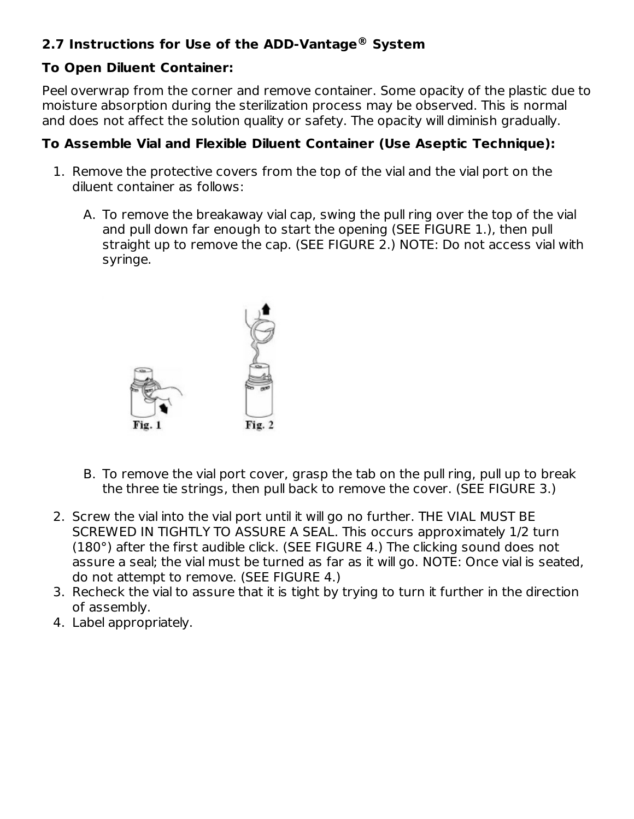# **2.7 Instructions for Use of the ADD-Vantage System ®**

### **To Open Diluent Container:**

Peel overwrap from the corner and remove container. Some opacity of the plastic due to moisture absorption during the sterilization process may be observed. This is normal and does not affect the solution quality or safety. The opacity will diminish gradually.

### **To Assemble Vial and Flexible Diluent Container (Use Aseptic Technique):**

- 1. Remove the protective covers from the top of the vial and the vial port on the diluent container as follows:
	- A. To remove the breakaway vial cap, swing the pull ring over the top of the vial and pull down far enough to start the opening (SEE FIGURE 1.), then pull straight up to remove the cap. (SEE FIGURE 2.) NOTE: Do not access vial with syringe.



- B. To remove the vial port cover, grasp the tab on the pull ring, pull up to break the three tie strings, then pull back to remove the cover. (SEE FIGURE 3.)
- 2. Screw the vial into the vial port until it will go no further. THE VIAL MUST BE SCREWED IN TIGHTLY TO ASSURE A SEAL. This occurs approximately 1/2 turn (180°) after the first audible click. (SEE FIGURE 4.) The clicking sound does not assure a seal; the vial must be turned as far as it will go. NOTE: Once vial is seated, do not attempt to remove. (SEE FIGURE 4.)
- 3. Recheck the vial to assure that it is tight by trying to turn it further in the direction of assembly.
- 4. Label appropriately.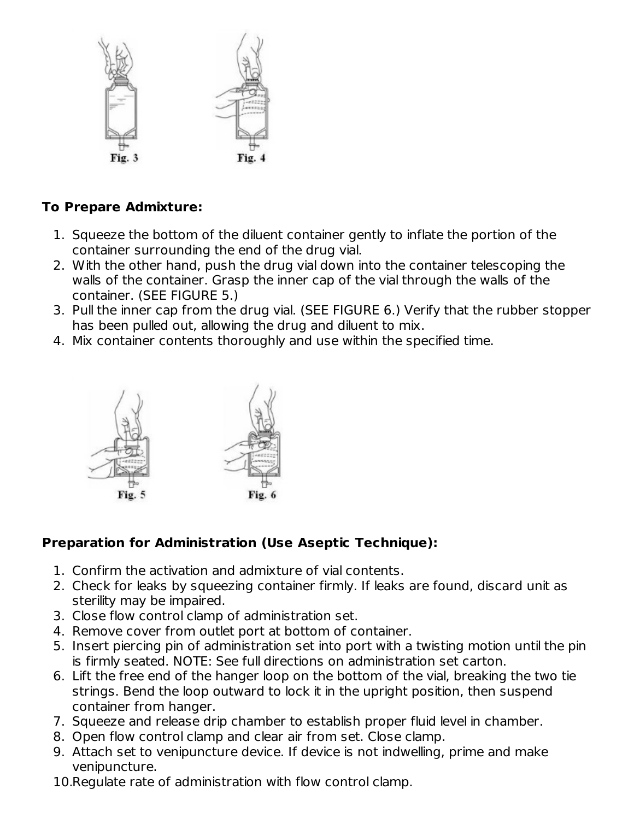

### **To Prepare Admixture:**

- 1. Squeeze the bottom of the diluent container gently to inflate the portion of the container surrounding the end of the drug vial.
- 2. With the other hand, push the drug vial down into the container telescoping the walls of the container. Grasp the inner cap of the vial through the walls of the container. (SEE FIGURE 5.)
- 3. Pull the inner cap from the drug vial. (SEE FIGURE 6.) Verify that the rubber stopper has been pulled out, allowing the drug and diluent to mix.
- 4. Mix container contents thoroughly and use within the specified time.



# **Preparation for Administration (Use Aseptic Technique):**

- 1. Confirm the activation and admixture of vial contents.
- 2. Check for leaks by squeezing container firmly. If leaks are found, discard unit as sterility may be impaired.
- 3. Close flow control clamp of administration set.
- 4. Remove cover from outlet port at bottom of container.
- 5. Insert piercing pin of administration set into port with a twisting motion until the pin is firmly seated. NOTE: See full directions on administration set carton.
- 6. Lift the free end of the hanger loop on the bottom of the vial, breaking the two tie strings. Bend the loop outward to lock it in the upright position, then suspend container from hanger.
- 7. Squeeze and release drip chamber to establish proper fluid level in chamber.
- 8. Open flow control clamp and clear air from set. Close clamp.
- 9. Attach set to venipuncture device. If device is not indwelling, prime and make venipuncture.
- 10. Regulate rate of administration with flow control clamp.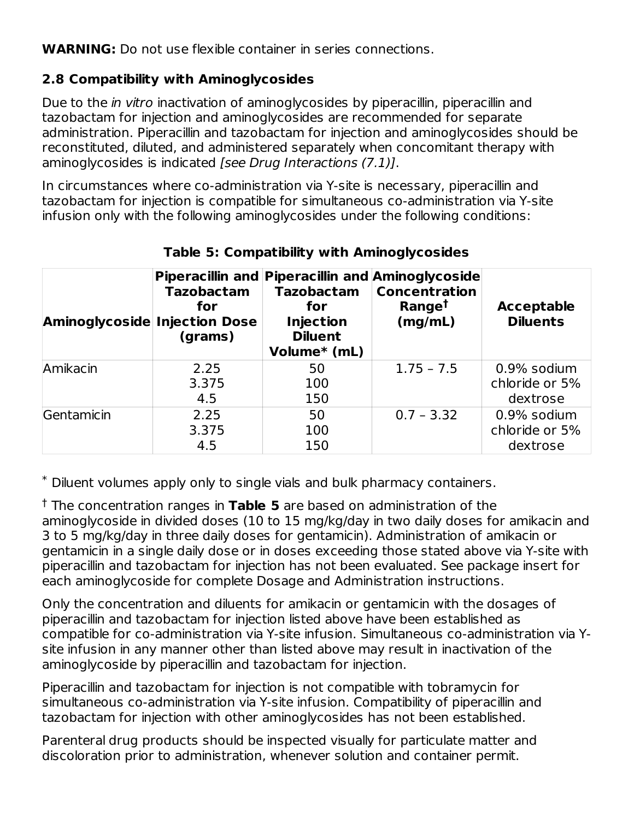**WARNING:** Do not use flexible container in series connections.

### **2.8 Compatibility with Aminoglycosides**

Due to the *in vitro* inactivation of aminoglycosides by piperacillin, piperacillin and tazobactam for injection and aminoglycosides are recommended for separate administration. Piperacillin and tazobactam for injection and aminoglycosides should be reconstituted, diluted, and administered separately when concomitant therapy with aminoglycosides is indicated [see Drug Interactions (7.1)].

In circumstances where co-administration via Y-site is necessary, piperacillin and tazobactam for injection is compatible for simultaneous co-administration via Y-site infusion only with the following aminoglycosides under the following conditions:

| <b>Aminoglycoside Injection Dose</b> | <b>Tazobactam</b><br>for<br>(grams) | <b>Tazobactam</b><br>for<br><b>Injection</b><br><b>Diluent</b><br>Volume* (mL) | Piperacillin and Piperacillin and Aminoglycoside<br><b>Concentration</b><br>Range <sup>t</sup><br>(mg/mL) | <b>Acceptable</b><br><b>Diluents</b> |
|--------------------------------------|-------------------------------------|--------------------------------------------------------------------------------|-----------------------------------------------------------------------------------------------------------|--------------------------------------|
| Amikacin                             | 2.25<br>3.375                       | 50<br>100                                                                      | $1.75 - 7.5$                                                                                              | 0.9% sodium<br>chloride or 5%        |
|                                      | 4.5                                 | 150                                                                            |                                                                                                           | dextrose                             |
| Gentamicin                           | 2.25                                | 50                                                                             | $0.7 - 3.32$                                                                                              | 0.9% sodium                          |
|                                      | 3.375                               | 100                                                                            |                                                                                                           | chloride or 5%                       |
|                                      | 4.5                                 | 150                                                                            |                                                                                                           | dextrose                             |

### **Table 5: Compatibility with Aminoglycosides**

Diluent volumes apply only to single vials and bulk pharmacy containers. \*

<sup>†</sup> The concentration ranges in Table 5 are based on administration of the aminoglycoside in divided doses (10 to 15 mg/kg/day in two daily doses for amikacin and 3 to 5 mg/kg/day in three daily doses for gentamicin). Administration of amikacin or gentamicin in a single daily dose or in doses exceeding those stated above via Y-site with piperacillin and tazobactam for injection has not been evaluated. See package insert for each aminoglycoside for complete Dosage and Administration instructions.

Only the concentration and diluents for amikacin or gentamicin with the dosages of piperacillin and tazobactam for injection listed above have been established as compatible for co-administration via Y-site infusion. Simultaneous co-administration via Ysite infusion in any manner other than listed above may result in inactivation of the aminoglycoside by piperacillin and tazobactam for injection.

Piperacillin and tazobactam for injection is not compatible with tobramycin for simultaneous co-administration via Y-site infusion. Compatibility of piperacillin and tazobactam for injection with other aminoglycosides has not been established.

Parenteral drug products should be inspected visually for particulate matter and discoloration prior to administration, whenever solution and container permit.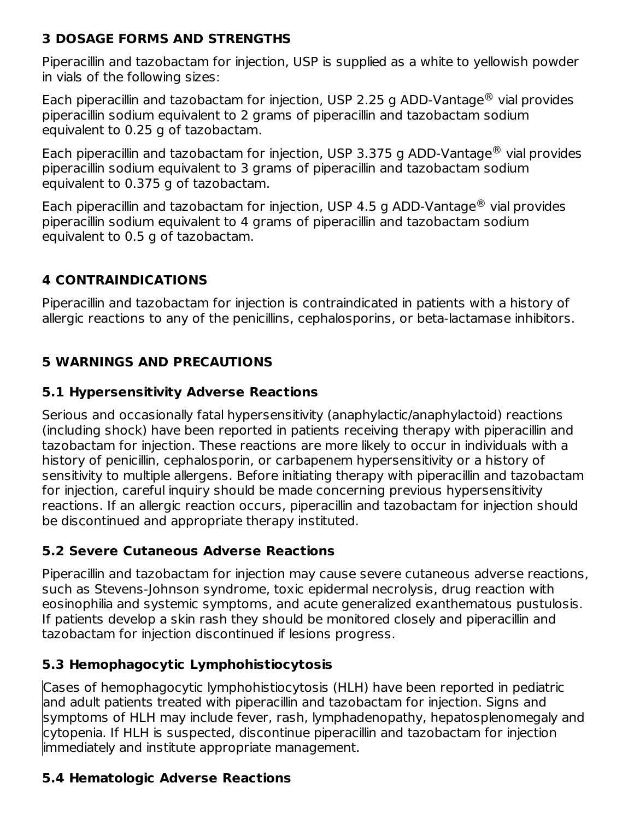# **3 DOSAGE FORMS AND STRENGTHS**

Piperacillin and tazobactam for injection, USP is supplied as a white to yellowish powder in vials of the following sizes:

Each piperacillin and tazobactam for injection, USP 2.25 g ADD-Vantage $^{\circledR}$  vial provides piperacillin sodium equivalent to 2 grams of piperacillin and tazobactam sodium equivalent to 0.25 g of tazobactam.

Each piperacillin and tazobactam for injection, USP 3.375 g ADD-Vantage $^{\circledR}$  vial provides piperacillin sodium equivalent to 3 grams of piperacillin and tazobactam sodium equivalent to 0.375 g of tazobactam.

Each piperacillin and tazobactam for injection, USP 4.5 g ADD-Vantage $^{\circledR}$  vial provides piperacillin sodium equivalent to 4 grams of piperacillin and tazobactam sodium equivalent to 0.5 g of tazobactam.

# **4 CONTRAINDICATIONS**

Piperacillin and tazobactam for injection is contraindicated in patients with a history of allergic reactions to any of the penicillins, cephalosporins, or beta-lactamase inhibitors.

# **5 WARNINGS AND PRECAUTIONS**

### **5.1 Hypersensitivity Adverse Reactions**

Serious and occasionally fatal hypersensitivity (anaphylactic/anaphylactoid) reactions (including shock) have been reported in patients receiving therapy with piperacillin and tazobactam for injection. These reactions are more likely to occur in individuals with a history of penicillin, cephalosporin, or carbapenem hypersensitivity or a history of sensitivity to multiple allergens. Before initiating therapy with piperacillin and tazobactam for injection, careful inquiry should be made concerning previous hypersensitivity reactions. If an allergic reaction occurs, piperacillin and tazobactam for injection should be discontinued and appropriate therapy instituted.

### **5.2 Severe Cutaneous Adverse Reactions**

Piperacillin and tazobactam for injection may cause severe cutaneous adverse reactions, such as Stevens-Johnson syndrome, toxic epidermal necrolysis, drug reaction with eosinophilia and systemic symptoms, and acute generalized exanthematous pustulosis. If patients develop a skin rash they should be monitored closely and piperacillin and tazobactam for injection discontinued if lesions progress.

# **5.3 Hemophagocytic Lymphohistiocytosis**

Cases of hemophagocytic lymphohistiocytosis (HLH) have been reported in pediatric and adult patients treated with piperacillin and tazobactam for injection. Signs and symptoms of HLH may include fever, rash, lymphadenopathy, hepatosplenomegaly and cytopenia. If HLH is suspected, discontinue piperacillin and tazobactam for injection immediately and institute appropriate management.

# **5.4 Hematologic Adverse Reactions**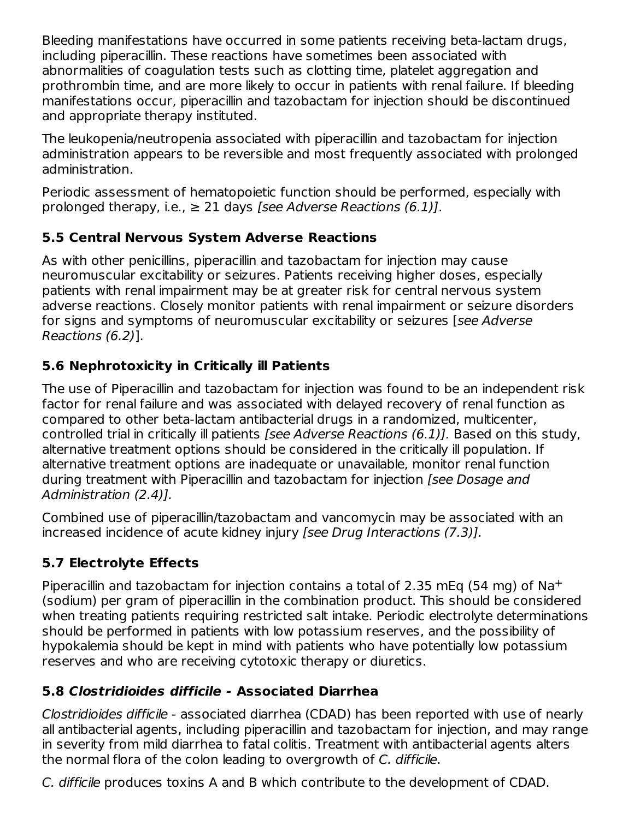Bleeding manifestations have occurred in some patients receiving beta-lactam drugs, including piperacillin. These reactions have sometimes been associated with abnormalities of coagulation tests such as clotting time, platelet aggregation and prothrombin time, and are more likely to occur in patients with renal failure. If bleeding manifestations occur, piperacillin and tazobactam for injection should be discontinued and appropriate therapy instituted.

The leukopenia/neutropenia associated with piperacillin and tazobactam for injection administration appears to be reversible and most frequently associated with prolonged administration.

Periodic assessment of hematopoietic function should be performed, especially with prolonged therapy, i.e.,  $\geq 21$  days [see Adverse Reactions (6.1)].

# **5.5 Central Nervous System Adverse Reactions**

As with other penicillins, piperacillin and tazobactam for injection may cause neuromuscular excitability or seizures. Patients receiving higher doses, especially patients with renal impairment may be at greater risk for central nervous system adverse reactions. Closely monitor patients with renal impairment or seizure disorders for signs and symptoms of neuromuscular excitability or seizures [see Adverse Reactions (6.2)].

# **5.6 Nephrotoxicity in Critically ill Patients**

The use of Piperacillin and tazobactam for injection was found to be an independent risk factor for renal failure and was associated with delayed recovery of renal function as compared to other beta-lactam antibacterial drugs in a randomized, multicenter, controlled trial in critically ill patients [see Adverse Reactions (6.1)]. Based on this study, alternative treatment options should be considered in the critically ill population. If alternative treatment options are inadequate or unavailable, monitor renal function during treatment with Piperacillin and tazobactam for injection [see Dosage and Administration (2.4)].

Combined use of piperacillin/tazobactam and vancomycin may be associated with an increased incidence of acute kidney injury [see Drug Interactions (7.3)].

# **5.7 Electrolyte Effects**

Piperacillin and tazobactam for injection contains a total of 2.35 mEq (54 mg) of  $\text{Na}^+$ (sodium) per gram of piperacillin in the combination product. This should be considered when treating patients requiring restricted salt intake. Periodic electrolyte determinations should be performed in patients with low potassium reserves, and the possibility of hypokalemia should be kept in mind with patients who have potentially low potassium reserves and who are receiving cytotoxic therapy or diuretics.

# **5.8 Clostridioides difficile - Associated Diarrhea**

Clostridioides difficile - associated diarrhea (CDAD) has been reported with use of nearly all antibacterial agents, including piperacillin and tazobactam for injection, and may range in severity from mild diarrhea to fatal colitis. Treatment with antibacterial agents alters the normal flora of the colon leading to overgrowth of C. difficile.

C. difficile produces toxins A and B which contribute to the development of CDAD.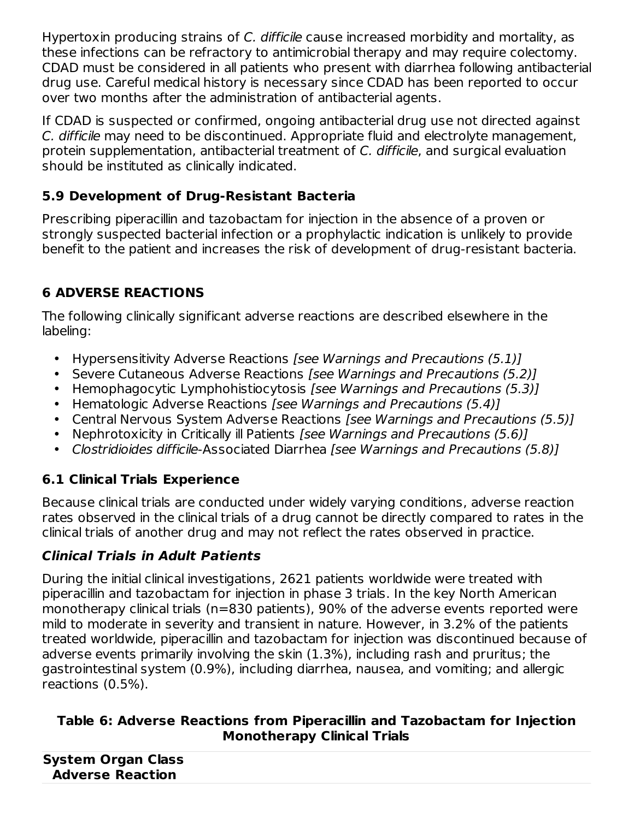Hypertoxin producing strains of C. difficile cause increased morbidity and mortality, as these infections can be refractory to antimicrobial therapy and may require colectomy. CDAD must be considered in all patients who present with diarrhea following antibacterial drug use. Careful medical history is necessary since CDAD has been reported to occur over two months after the administration of antibacterial agents.

If CDAD is suspected or confirmed, ongoing antibacterial drug use not directed against C. difficile may need to be discontinued. Appropriate fluid and electrolyte management, protein supplementation, antibacterial treatment of C. difficile, and surgical evaluation should be instituted as clinically indicated.

# **5.9 Development of Drug-Resistant Bacteria**

Prescribing piperacillin and tazobactam for injection in the absence of a proven or strongly suspected bacterial infection or a prophylactic indication is unlikely to provide benefit to the patient and increases the risk of development of drug-resistant bacteria.

# **6 ADVERSE REACTIONS**

The following clinically significant adverse reactions are described elsewhere in the labeling:

- Hypersensitivity Adverse Reactions [see Warnings and Precautions (5.1)]
- Severe Cutaneous Adverse Reactions [see Warnings and Precautions (5.2)]
- Hemophagocytic Lymphohistiocytosis [see Warnings and Precautions (5.3)]
- Hematologic Adverse Reactions [see Warnings and Precautions (5.4)]
- Central Nervous System Adverse Reactions [see Warnings and Precautions (5.5)]
- $\bullet$ Nephrotoxicity in Critically ill Patients [see Warnings and Precautions (5.6)]
- Clostridioides difficile-Associated Diarrhea [see Warnings and Precautions (5.8)]

# **6.1 Clinical Trials Experience**

Because clinical trials are conducted under widely varying conditions, adverse reaction rates observed in the clinical trials of a drug cannot be directly compared to rates in the clinical trials of another drug and may not reflect the rates observed in practice.

# **Clinical Trials in Adult Patients**

During the initial clinical investigations, 2621 patients worldwide were treated with piperacillin and tazobactam for injection in phase 3 trials. In the key North American monotherapy clinical trials (n=830 patients), 90% of the adverse events reported were mild to moderate in severity and transient in nature. However, in 3.2% of the patients treated worldwide, piperacillin and tazobactam for injection was discontinued because of adverse events primarily involving the skin (1.3%), including rash and pruritus; the gastrointestinal system (0.9%), including diarrhea, nausea, and vomiting; and allergic reactions (0.5%).

### **Table 6: Adverse Reactions from Piperacillin and Tazobactam for Injection Monotherapy Clinical Trials**

| <b>System Organ Class</b> |  |  |
|---------------------------|--|--|
| <b>Adverse Reaction</b>   |  |  |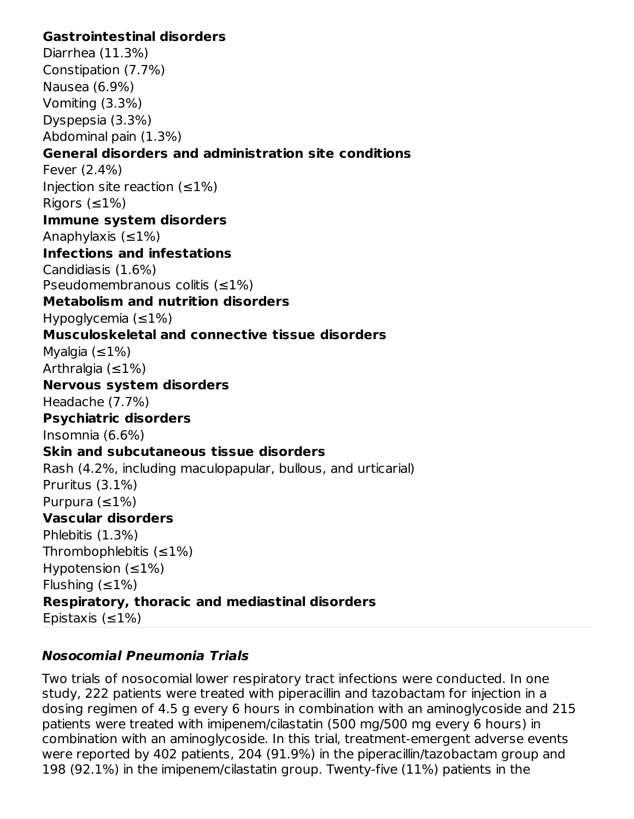#### **Gastrointestinal disorders**

Diarrhea (11.3%) Constipation (7.7%) Nausea (6.9%) Vomiting (3.3%) Dyspepsia (3.3%) Abdominal pain (1.3%) **General disorders and administration site conditions** Fever (2.4%) Injection site reaction  $(\leq 1\%)$ Rigors  $(\leq 1\%)$ **Immune system disorders** Anaphylaxis  $(\leq 1\%)$ **Infections and infestations** Candidiasis (1.6%) Pseudomembranous colitis (≤1%) **Metabolism and nutrition disorders** Hypoglycemia (≤1%) **Musculoskeletal and connective tissue disorders** Myalgia  $(\leq 1\%)$ Arthralgia  $(\leq 1\%)$ **Nervous system disorders** Headache (7.7%) **Psychiatric disorders** Insomnia (6.6%) **Skin and subcutaneous tissue disorders** Rash (4.2%, including maculopapular, bullous, and urticarial) Pruritus (3.1%) Purpura (≤1%) **Vascular disorders** Phlebitis (1.3%) Thrombophlebitis  $(\leq 1\%)$ Hypotension  $(\leq 1\%)$ Flushing  $(\leq 1\%)$ **Respiratory, thoracic and mediastinal disorders** Epistaxis  $(\leq 1\%)$ 

# **Nosocomial Pneumonia Trials**

Two trials of nosocomial lower respiratory tract infections were conducted. In one study, 222 patients were treated with piperacillin and tazobactam for injection in a dosing regimen of 4.5 g every 6 hours in combination with an aminoglycoside and 215 patients were treated with imipenem/cilastatin (500 mg/500 mg every 6 hours) in combination with an aminoglycoside. In this trial, treatment-emergent adverse events were reported by 402 patients, 204 (91.9%) in the piperacillin/tazobactam group and 198 (92.1%) in the imipenem/cilastatin group. Twenty-five (11%) patients in the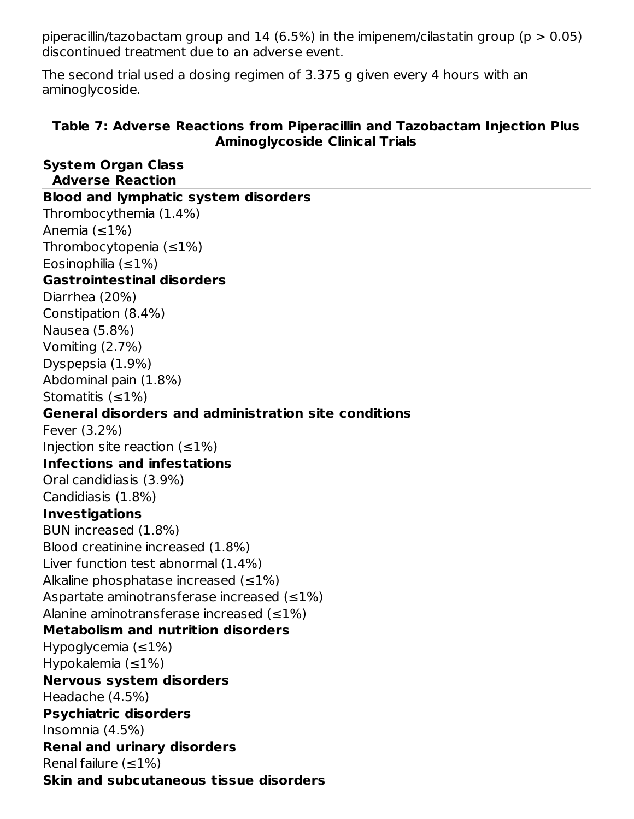piperacillin/tazobactam group and 14 (6.5%) in the imipenem/cilastatin group ( $p > 0.05$ ) discontinued treatment due to an adverse event.

The second trial used a dosing regimen of 3.375 g given every 4 hours with an aminoglycoside.

#### **Table 7: Adverse Reactions from Piperacillin and Tazobactam Injection Plus Aminoglycoside Clinical Trials**

| <b>System Organ Class</b><br><b>Adverse Reaction</b>        |
|-------------------------------------------------------------|
| <b>Blood and lymphatic system disorders</b>                 |
| Thrombocythemia (1.4%)                                      |
| Anemia $(\leq 1\%)$                                         |
| Thrombocytopenia $(\leq 1\%)$                               |
| Eosinophilia $(\leq 1\%)$                                   |
| <b>Gastrointestinal disorders</b>                           |
| Diarrhea (20%)                                              |
| Constipation (8.4%)                                         |
| Nausea (5.8%)                                               |
| Vomiting $(2.7%)$                                           |
| Dyspepsia (1.9%)                                            |
| Abdominal pain (1.8%)                                       |
| Stomatitis $(\leq 1\%)$                                     |
| <b>General disorders and administration site conditions</b> |
| Fever (3.2%)                                                |
| Injection site reaction $(\leq 1\%)$                        |
| <b>Infections and infestations</b>                          |
| Oral candidiasis (3.9%)                                     |
| Candidiasis (1.8%)                                          |
| <b>Investigations</b>                                       |
| BUN increased (1.8%)                                        |
| Blood creatinine increased (1.8%)                           |
| Liver function test abnormal (1.4%)                         |
| Alkaline phosphatase increased $(\leq 1\%)$                 |
| Aspartate aminotransferase increased $(\leq 1\%)$           |
| Alanine aminotransferase increased $(\leq 1\%)$             |
| <b>Metabolism and nutrition disorders</b>                   |
| Hypoglycemia $(\leq 1\%)$                                   |
| Hypokalemia $(\leq 1\%)$                                    |
| <b>Nervous system disorders</b>                             |
| Headache (4.5%)                                             |
| <b>Psychiatric disorders</b>                                |
| Insomnia (4.5%)                                             |
| <b>Renal and urinary disorders</b>                          |
| Renal failure $(\leq 1\%)$                                  |
| Skin and subcutaneous tissue disorders                      |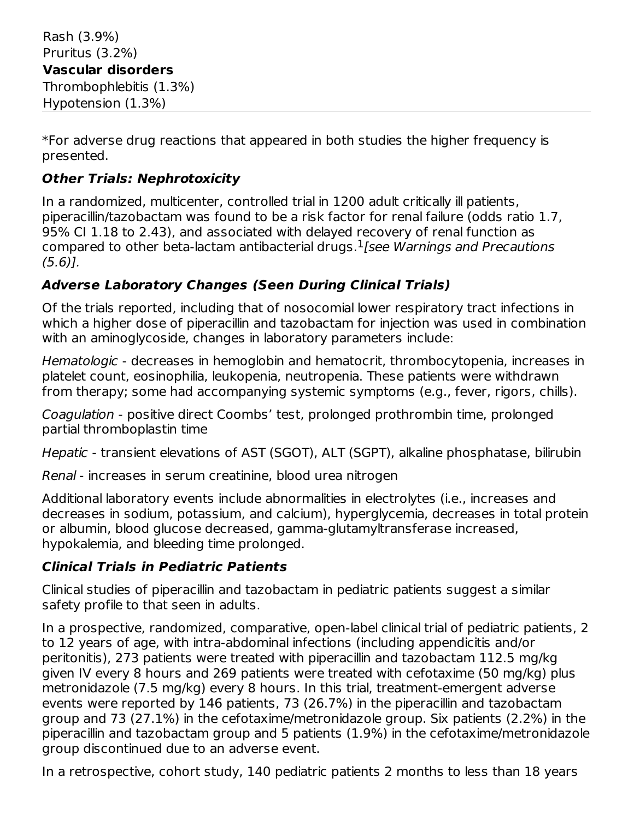Rash (3.9%) Pruritus (3.2%) **Vascular disorders** Thrombophlebitis (1.3%) Hypotension (1.3%)

\*For adverse drug reactions that appeared in both studies the higher frequency is presented.

# **Other Trials: Nephrotoxicity**

In a randomized, multicenter, controlled trial in 1200 adult critically ill patients, piperacillin/tazobactam was found to be a risk factor for renal failure (odds ratio 1.7, 95% CI 1.18 to 2.43), and associated with delayed recovery of renal function as compared to other beta-lactam antibacterial drugs. ${}^{1}$  [see Warnings and Precautions (5.6)].

# **Adverse Laboratory Changes (Seen During Clinical Trials)**

Of the trials reported, including that of nosocomial lower respiratory tract infections in which a higher dose of piperacillin and tazobactam for injection was used in combination with an aminoglycoside, changes in laboratory parameters include:

Hematologic - decreases in hemoglobin and hematocrit, thrombocytopenia, increases in platelet count, eosinophilia, leukopenia, neutropenia. These patients were withdrawn from therapy; some had accompanying systemic symptoms (e.g., fever, rigors, chills).

Coagulation - positive direct Coombs' test, prolonged prothrombin time, prolonged partial thromboplastin time

Hepatic - transient elevations of AST (SGOT), ALT (SGPT), alkaline phosphatase, bilirubin

Renal - increases in serum creatinine, blood urea nitrogen

Additional laboratory events include abnormalities in electrolytes (i.e., increases and decreases in sodium, potassium, and calcium), hyperglycemia, decreases in total protein or albumin, blood glucose decreased, gamma-glutamyltransferase increased, hypokalemia, and bleeding time prolonged.

# **Clinical Trials in Pediatric Patients**

Clinical studies of piperacillin and tazobactam in pediatric patients suggest a similar safety profile to that seen in adults.

In a prospective, randomized, comparative, open-label clinical trial of pediatric patients, 2 to 12 years of age, with intra-abdominal infections (including appendicitis and/or peritonitis), 273 patients were treated with piperacillin and tazobactam 112.5 mg/kg given IV every 8 hours and 269 patients were treated with cefotaxime (50 mg/kg) plus metronidazole (7.5 mg/kg) every 8 hours. In this trial, treatment-emergent adverse events were reported by 146 patients, 73 (26.7%) in the piperacillin and tazobactam group and 73 (27.1%) in the cefotaxime/metronidazole group. Six patients (2.2%) in the piperacillin and tazobactam group and 5 patients (1.9%) in the cefotaxime/metronidazole group discontinued due to an adverse event.

In a retrospective, cohort study, 140 pediatric patients 2 months to less than 18 years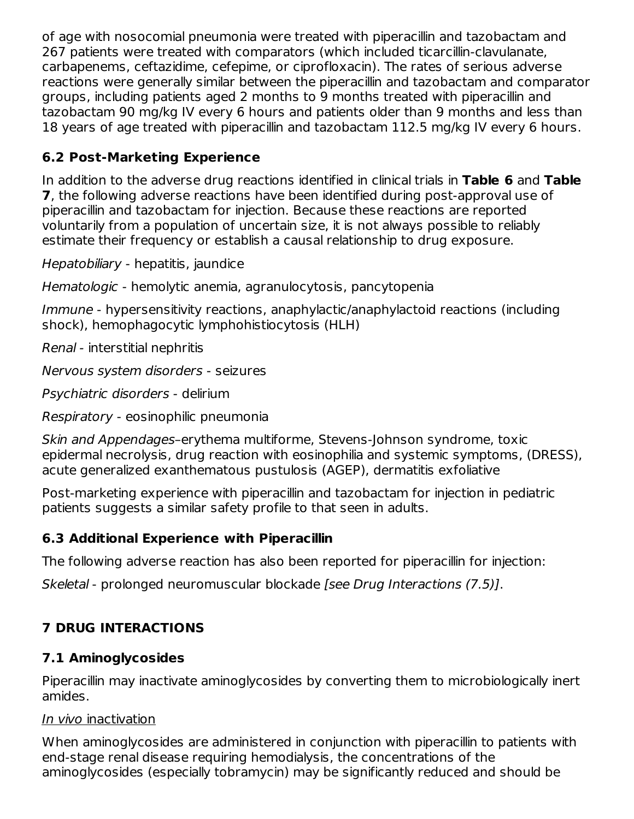of age with nosocomial pneumonia were treated with piperacillin and tazobactam and 267 patients were treated with comparators (which included ticarcillin-clavulanate, carbapenems, ceftazidime, cefepime, or ciprofloxacin). The rates of serious adverse reactions were generally similar between the piperacillin and tazobactam and comparator groups, including patients aged 2 months to 9 months treated with piperacillin and tazobactam 90 mg/kg IV every 6 hours and patients older than 9 months and less than 18 years of age treated with piperacillin and tazobactam 112.5 mg/kg IV every 6 hours.

# **6.2 Post-Marketing Experience**

In addition to the adverse drug reactions identified in clinical trials in **Table 6** and **Table 7**, the following adverse reactions have been identified during post-approval use of piperacillin and tazobactam for injection. Because these reactions are reported voluntarily from a population of uncertain size, it is not always possible to reliably estimate their frequency or establish a causal relationship to drug exposure.

Hepatobiliary - hepatitis, jaundice

Hematologic - hemolytic anemia, agranulocytosis, pancytopenia

Immune - hypersensitivity reactions, anaphylactic/anaphylactoid reactions (including shock), hemophagocytic lymphohistiocytosis (HLH)

Renal - interstitial nephritis

Nervous system disorders - seizures

Psychiatric disorders - delirium

Respiratory - eosinophilic pneumonia

Skin and Appendages–erythema multiforme, Stevens-Johnson syndrome, toxic epidermal necrolysis, drug reaction with eosinophilia and systemic symptoms, (DRESS), acute generalized exanthematous pustulosis (AGEP), dermatitis exfoliative

Post-marketing experience with piperacillin and tazobactam for injection in pediatric patients suggests a similar safety profile to that seen in adults.

# **6.3 Additional Experience with Piperacillin**

The following adverse reaction has also been reported for piperacillin for injection:

Skeletal - prolonged neuromuscular blockade [see Drug Interactions (7.5)].

# **7 DRUG INTERACTIONS**

# **7.1 Aminoglycosides**

Piperacillin may inactivate aminoglycosides by converting them to microbiologically inert amides.

# In vivo inactivation

When aminoglycosides are administered in conjunction with piperacillin to patients with end-stage renal disease requiring hemodialysis, the concentrations of the aminoglycosides (especially tobramycin) may be significantly reduced and should be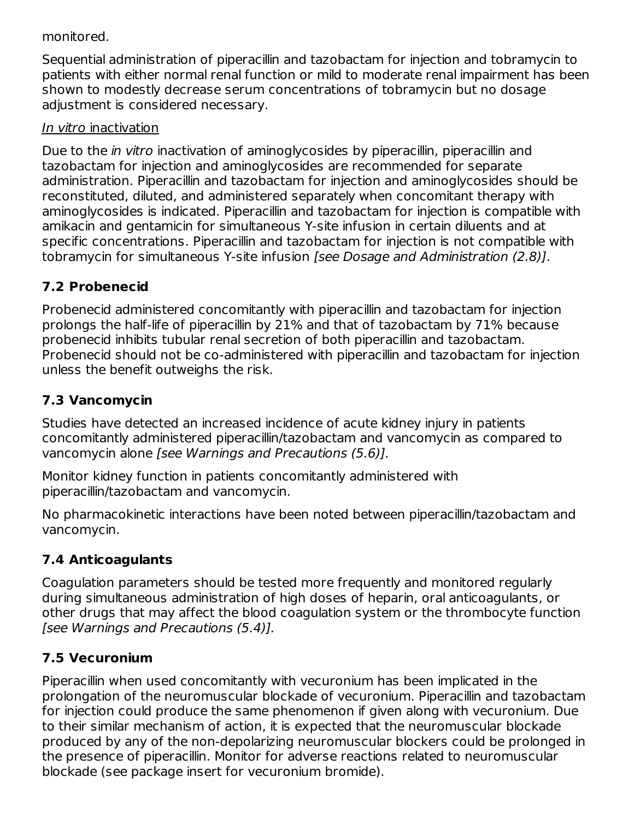#### monitored.

Sequential administration of piperacillin and tazobactam for injection and tobramycin to patients with either normal renal function or mild to moderate renal impairment has been shown to modestly decrease serum concentrations of tobramycin but no dosage adjustment is considered necessary.

#### In vitro inactivation

Due to the *in vitro* inactivation of aminoglycosides by piperacillin, piperacillin and tazobactam for injection and aminoglycosides are recommended for separate administration. Piperacillin and tazobactam for injection and aminoglycosides should be reconstituted, diluted, and administered separately when concomitant therapy with aminoglycosides is indicated. Piperacillin and tazobactam for injection is compatible with amikacin and gentamicin for simultaneous Y-site infusion in certain diluents and at specific concentrations. Piperacillin and tazobactam for injection is not compatible with tobramycin for simultaneous Y-site infusion [see Dosage and Administration (2.8)].

# **7.2 Probenecid**

Probenecid administered concomitantly with piperacillin and tazobactam for injection prolongs the half-life of piperacillin by 21% and that of tazobactam by 71% because probenecid inhibits tubular renal secretion of both piperacillin and tazobactam. Probenecid should not be co-administered with piperacillin and tazobactam for injection unless the benefit outweighs the risk.

# **7.3 Vancomycin**

Studies have detected an increased incidence of acute kidney injury in patients concomitantly administered piperacillin/tazobactam and vancomycin as compared to vancomycin alone [see Warnings and Precautions (5.6)].

Monitor kidney function in patients concomitantly administered with piperacillin/tazobactam and vancomycin.

No pharmacokinetic interactions have been noted between piperacillin/tazobactam and vancomycin.

# **7.4 Anticoagulants**

Coagulation parameters should be tested more frequently and monitored regularly during simultaneous administration of high doses of heparin, oral anticoagulants, or other drugs that may affect the blood coagulation system or the thrombocyte function [see Warnings and Precautions (5.4)].

# **7.5 Vecuronium**

Piperacillin when used concomitantly with vecuronium has been implicated in the prolongation of the neuromuscular blockade of vecuronium. Piperacillin and tazobactam for injection could produce the same phenomenon if given along with vecuronium. Due to their similar mechanism of action, it is expected that the neuromuscular blockade produced by any of the non-depolarizing neuromuscular blockers could be prolonged in the presence of piperacillin. Monitor for adverse reactions related to neuromuscular blockade (see package insert for vecuronium bromide).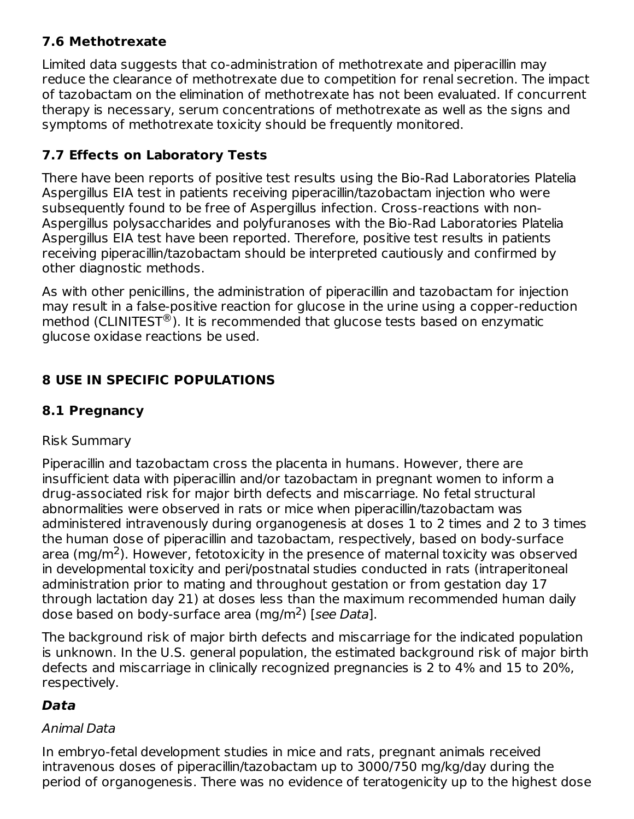# **7.6 Methotrexate**

Limited data suggests that co-administration of methotrexate and piperacillin may reduce the clearance of methotrexate due to competition for renal secretion. The impact of tazobactam on the elimination of methotrexate has not been evaluated. If concurrent therapy is necessary, serum concentrations of methotrexate as well as the signs and symptoms of methotrexate toxicity should be frequently monitored.

# **7.7 Effects on Laboratory Tests**

There have been reports of positive test results using the Bio-Rad Laboratories Platelia Aspergillus EIA test in patients receiving piperacillin/tazobactam injection who were subsequently found to be free of Aspergillus infection. Cross-reactions with non-Aspergillus polysaccharides and polyfuranoses with the Bio-Rad Laboratories Platelia Aspergillus EIA test have been reported. Therefore, positive test results in patients receiving piperacillin/tazobactam should be interpreted cautiously and confirmed by other diagnostic methods.

As with other penicillins, the administration of piperacillin and tazobactam for injection may result in a false-positive reaction for glucose in the urine using a copper-reduction method (CLINITEST $^{\circledR}$ ). It is recommended that glucose tests based on enzymatic glucose oxidase reactions be used.

# **8 USE IN SPECIFIC POPULATIONS**

# **8.1 Pregnancy**

# Risk Summary

Piperacillin and tazobactam cross the placenta in humans. However, there are insufficient data with piperacillin and/or tazobactam in pregnant women to inform a drug-associated risk for major birth defects and miscarriage. No fetal structural abnormalities were observed in rats or mice when piperacillin/tazobactam was administered intravenously during organogenesis at doses 1 to 2 times and 2 to 3 times the human dose of piperacillin and tazobactam, respectively, based on body-surface area (mg/m<sup>2</sup>). However, fetotoxicity in the presence of maternal toxicity was observed in developmental toxicity and peri/postnatal studies conducted in rats (intraperitoneal administration prior to mating and throughout gestation or from gestation day 17 through lactation day 21) at doses less than the maximum recommended human daily dose based on body-surface area (mg/m<sup>2</sup>) [see Data].

The background risk of major birth defects and miscarriage for the indicated population is unknown. In the U.S. general population, the estimated background risk of major birth defects and miscarriage in clinically recognized pregnancies is 2 to 4% and 15 to 20%, respectively.

# **Data**

### Animal Data

In embryo-fetal development studies in mice and rats, pregnant animals received intravenous doses of piperacillin/tazobactam up to 3000/750 mg/kg/day during the period of organogenesis. There was no evidence of teratogenicity up to the highest dose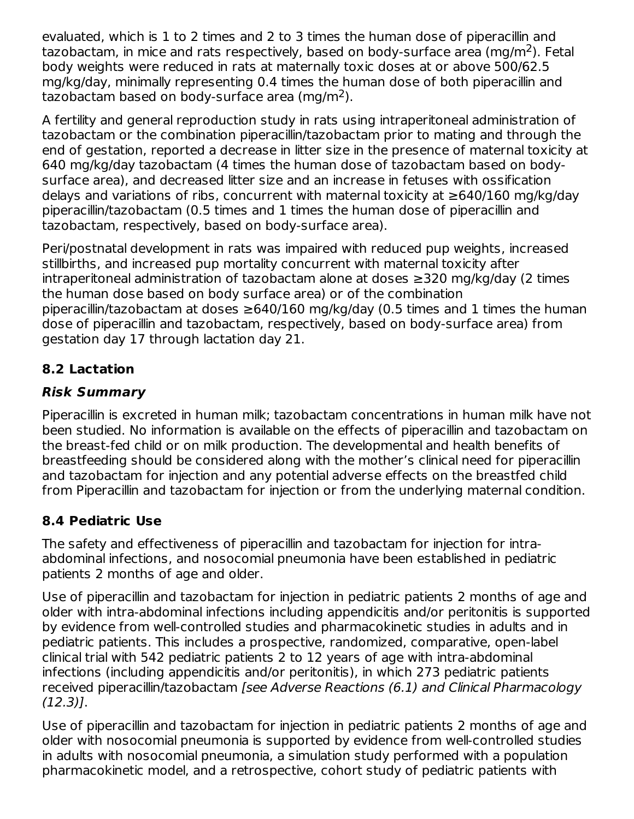evaluated, which is 1 to 2 times and 2 to 3 times the human dose of piperacillin and tazobactam, in mice and rats respectively, based on body-surface area (mg/m<sup>2</sup>). Fetal body weights were reduced in rats at maternally toxic doses at or above 500/62.5 mg/kg/day, minimally representing 0.4 times the human dose of both piperacillin and tazobactam based on body-surface area (mg/m<sup>2</sup>).

A fertility and general reproduction study in rats using intraperitoneal administration of tazobactam or the combination piperacillin/tazobactam prior to mating and through the end of gestation, reported a decrease in litter size in the presence of maternal toxicity at 640 mg/kg/day tazobactam (4 times the human dose of tazobactam based on bodysurface area), and decreased litter size and an increase in fetuses with ossification delays and variations of ribs, concurrent with maternal toxicity at ≥640/160 mg/kg/day piperacillin/tazobactam (0.5 times and 1 times the human dose of piperacillin and tazobactam, respectively, based on body-surface area).

Peri/postnatal development in rats was impaired with reduced pup weights, increased stillbirths, and increased pup mortality concurrent with maternal toxicity after intraperitoneal administration of tazobactam alone at doses ≥320 mg/kg/day (2 times the human dose based on body surface area) or of the combination piperacillin/tazobactam at doses  $\geq$ 640/160 mg/kg/day (0.5 times and 1 times the human dose of piperacillin and tazobactam, respectively, based on body-surface area) from gestation day 17 through lactation day 21.

# **8.2 Lactation**

### **Risk Summary**

Piperacillin is excreted in human milk; tazobactam concentrations in human milk have not been studied. No information is available on the effects of piperacillin and tazobactam on the breast-fed child or on milk production. The developmental and health benefits of breastfeeding should be considered along with the mother's clinical need for piperacillin and tazobactam for injection and any potential adverse effects on the breastfed child from Piperacillin and tazobactam for injection or from the underlying maternal condition.

# **8.4 Pediatric Use**

The safety and effectiveness of piperacillin and tazobactam for injection for intraabdominal infections, and nosocomial pneumonia have been established in pediatric patients 2 months of age and older.

Use of piperacillin and tazobactam for injection in pediatric patients 2 months of age and older with intra-abdominal infections including appendicitis and/or peritonitis is supported by evidence from well-controlled studies and pharmacokinetic studies in adults and in pediatric patients. This includes a prospective, randomized, comparative, open-label clinical trial with 542 pediatric patients 2 to 12 years of age with intra-abdominal infections (including appendicitis and/or peritonitis), in which 273 pediatric patients received piperacillin/tazobactam [see Adverse Reactions (6.1) and Clinical Pharmacology (12.3)].

Use of piperacillin and tazobactam for injection in pediatric patients 2 months of age and older with nosocomial pneumonia is supported by evidence from well-controlled studies in adults with nosocomial pneumonia, a simulation study performed with a population pharmacokinetic model, and a retrospective, cohort study of pediatric patients with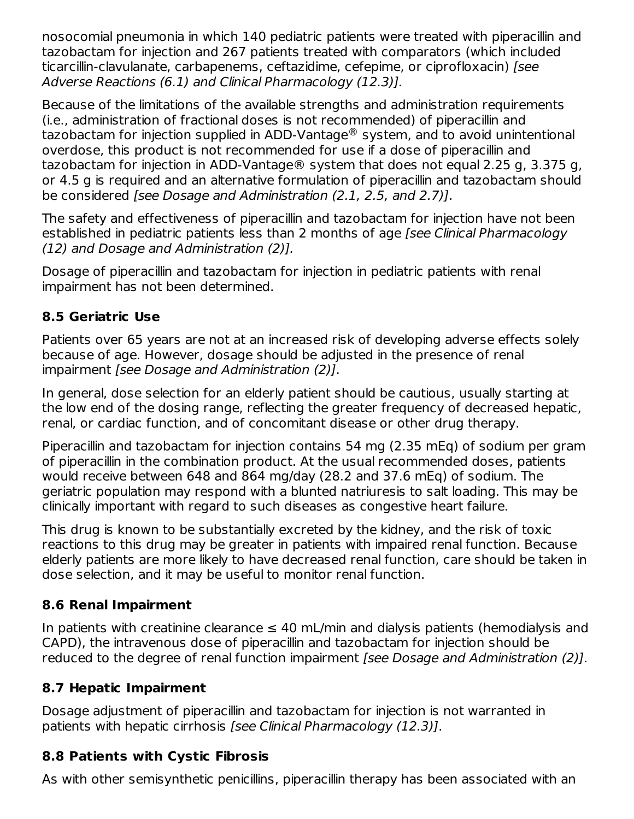nosocomial pneumonia in which 140 pediatric patients were treated with piperacillin and tazobactam for injection and 267 patients treated with comparators (which included ticarcillin-clavulanate, carbapenems, ceftazidime, cefepime, or ciprofloxacin) [see Adverse Reactions (6.1) and Clinical Pharmacology (12.3)].

Because of the limitations of the available strengths and administration requirements (i.e., administration of fractional doses is not recommended) of piperacillin and tazobactam for injection supplied in ADD-Vantage $^\circledR$  system, and to avoid unintentional overdose, this product is not recommended for use if a dose of piperacillin and tazobactam for injection in ADD-Vantage® system that does not equal 2.25 g, 3.375 g, or 4.5 g is required and an alternative formulation of piperacillin and tazobactam should be considered [see Dosage and Administration (2.1, 2.5, and 2.7)].

The safety and effectiveness of piperacillin and tazobactam for injection have not been established in pediatric patients less than 2 months of age [see Clinical Pharmacology (12) and Dosage and Administration (2)].

Dosage of piperacillin and tazobactam for injection in pediatric patients with renal impairment has not been determined.

### **8.5 Geriatric Use**

Patients over 65 years are not at an increased risk of developing adverse effects solely because of age. However, dosage should be adjusted in the presence of renal impairment [see Dosage and Administration (2)].

In general, dose selection for an elderly patient should be cautious, usually starting at the low end of the dosing range, reflecting the greater frequency of decreased hepatic, renal, or cardiac function, and of concomitant disease or other drug therapy.

Piperacillin and tazobactam for injection contains 54 mg (2.35 mEq) of sodium per gram of piperacillin in the combination product. At the usual recommended doses, patients would receive between 648 and 864 mg/day (28.2 and 37.6 mEq) of sodium. The geriatric population may respond with a blunted natriuresis to salt loading. This may be clinically important with regard to such diseases as congestive heart failure.

This drug is known to be substantially excreted by the kidney, and the risk of toxic reactions to this drug may be greater in patients with impaired renal function. Because elderly patients are more likely to have decreased renal function, care should be taken in dose selection, and it may be useful to monitor renal function.

# **8.6 Renal Impairment**

In patients with creatinine clearance  $\leq 40$  mL/min and dialysis patients (hemodialysis and CAPD), the intravenous dose of piperacillin and tazobactam for injection should be reduced to the degree of renal function impairment [see Dosage and Administration (2)].

### **8.7 Hepatic Impairment**

Dosage adjustment of piperacillin and tazobactam for injection is not warranted in patients with hepatic cirrhosis [see Clinical Pharmacology (12.3)].

# **8.8 Patients with Cystic Fibrosis**

As with other semisynthetic penicillins, piperacillin therapy has been associated with an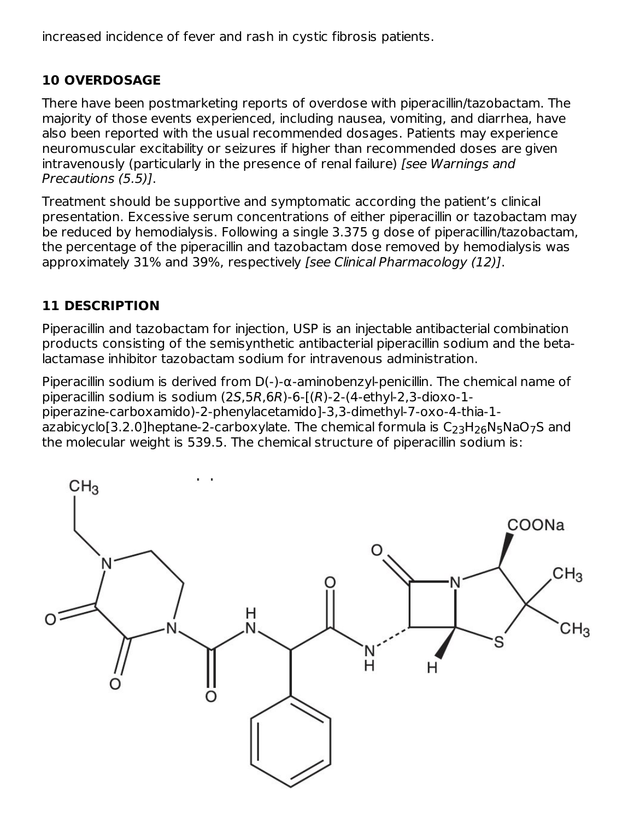increased incidence of fever and rash in cystic fibrosis patients.

# **10 OVERDOSAGE**

There have been postmarketing reports of overdose with piperacillin/tazobactam. The majority of those events experienced, including nausea, vomiting, and diarrhea, have also been reported with the usual recommended dosages. Patients may experience neuromuscular excitability or seizures if higher than recommended doses are given intravenously (particularly in the presence of renal failure) [see Warnings and Precautions (5.5)].

Treatment should be supportive and symptomatic according the patient's clinical presentation. Excessive serum concentrations of either piperacillin or tazobactam may be reduced by hemodialysis. Following a single 3.375 g dose of piperacillin/tazobactam, the percentage of the piperacillin and tazobactam dose removed by hemodialysis was approximately 31% and 39%, respectively [see Clinical Pharmacology (12)].

# **11 DESCRIPTION**

Piperacillin and tazobactam for injection, USP is an injectable antibacterial combination products consisting of the semisynthetic antibacterial piperacillin sodium and the betalactamase inhibitor tazobactam sodium for intravenous administration.

Piperacillin sodium is derived from  $D(-)$ - $\alpha$ -aminobenzyl-penicillin. The chemical name of piperacillin sodium is sodium (2S,5R,6R)-6-[(R)-2-(4-ethyl-2,3-dioxo-1 piperazine‑carboxamido)-2-phenylacetamido]-3,3-dimethyl-7-oxo-4-thia-1 azabicyclo[3.2.0]heptane-2-carboxylate. The chemical formula is  $\mathsf{C}_{23}\mathsf{H}_{26}\mathsf{N}_{5}\mathsf{NaO}_{7}\mathsf{S}$  and the molecular weight is 539.5. The chemical structure of piperacillin sodium is:

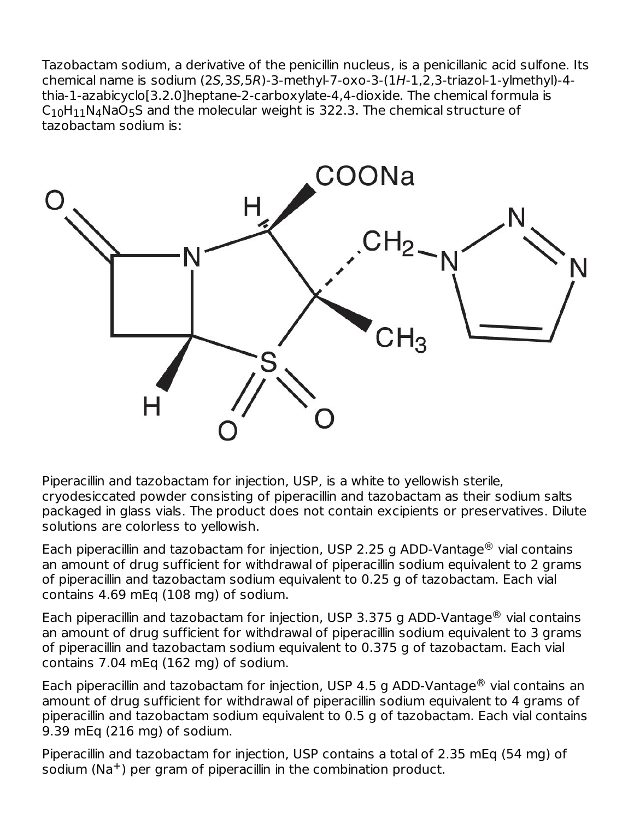Tazobactam sodium, a derivative of the penicillin nucleus, is a penicillanic acid sulfone. Its chemical name is sodium (2S,3S,5R)-3-methyl-7-oxo-3-(1H-1,2,3-triazol-1-ylmethyl)-4 thia-1‑azabicyclo[3.2.0]heptane-2-carboxylate-4,4-dioxide. The chemical formula is  $\mathsf{C}_{10}\mathsf{H}_{11}\mathsf{N}_{4}\mathsf{NaO}_{5}\mathsf{S}$  and the molecular weight is 322.3. The chemical structure of tazobactam sodium is:



Piperacillin and tazobactam for injection, USP, is a white to yellowish sterile, cryodesiccated powder consisting of piperacillin and tazobactam as their sodium salts packaged in glass vials. The product does not contain excipients or preservatives. Dilute solutions are colorless to yellowish.

Each piperacillin and tazobactam for injection, USP 2.25 g ADD-Vantage $^{\circledR}$  vial contains an amount of drug sufficient for withdrawal of piperacillin sodium equivalent to 2 grams of piperacillin and tazobactam sodium equivalent to 0.25 g of tazobactam. Each vial contains 4.69 mEq (108 mg) of sodium.

Each piperacillin and tazobactam for injection, USP 3.375 g ADD-Vantage $^{\circledR}$  vial contains an amount of drug sufficient for withdrawal of piperacillin sodium equivalent to 3 grams of piperacillin and tazobactam sodium equivalent to 0.375 g of tazobactam. Each vial contains 7.04 mEq (162 mg) of sodium.

Each piperacillin and tazobactam for injection, USP 4.5 g ADD-Vantage $^{\circledR}$  vial contains an amount of drug sufficient for withdrawal of piperacillin sodium equivalent to 4 grams of piperacillin and tazobactam sodium equivalent to 0.5 g of tazobactam. Each vial contains 9.39 mEq (216 mg) of sodium.

Piperacillin and tazobactam for injection, USP contains a total of 2.35 mEq (54 mg) of sodium (Na<sup>+</sup>) per gram of piperacillin in the combination product.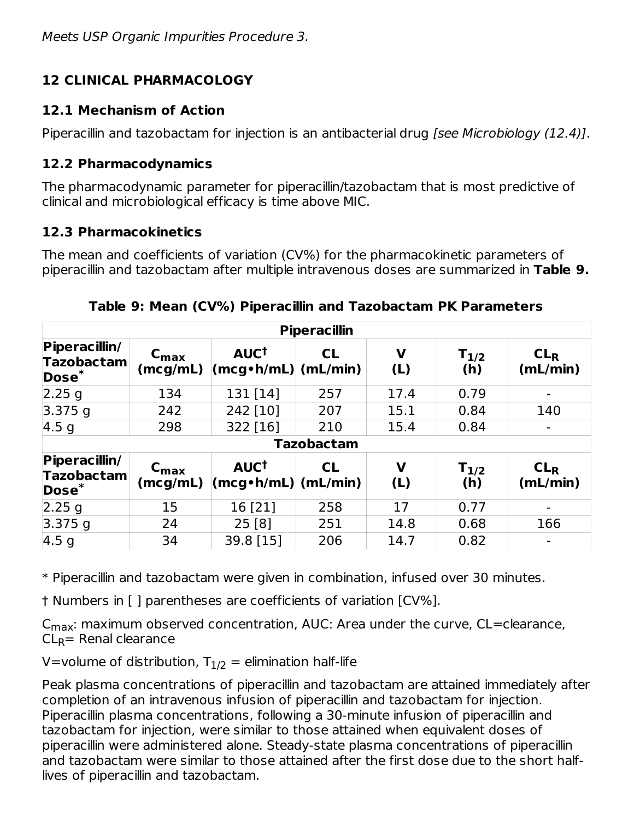# **12 CLINICAL PHARMACOLOGY**

# **12.1 Mechanism of Action**

Piperacillin and tazobactam for injection is an antibacterial drug [see Microbiology (12.4)].

# **12.2 Pharmacodynamics**

The pharmacodynamic parameter for piperacillin/tazobactam that is most predictive of clinical and microbiological efficacy is time above MIC.

# **12.3 Pharmacokinetics**

The mean and coefficients of variation (CV%) for the pharmacokinetic parameters of piperacillin and tazobactam after multiple intravenous doses are summarized in **Table 9.**

| <b>Piperacillin</b>                                     |                              |                                                             |                   |                    |                  |                             |  |  |
|---------------------------------------------------------|------------------------------|-------------------------------------------------------------|-------------------|--------------------|------------------|-----------------------------|--|--|
| Piperacillin/<br><b>Tazobactam</b><br>$\mathsf{Dose}^*$ | $C_{\text{max}}$<br>(mcg/mL) | AUC <sup>t</sup><br>$\lfloor$ (mcg•h/mL) $\rfloor$ (mL/min) | CL                | V<br>(L)           | $T_{1/2}$<br>(h) | CL <sub>R</sub><br>(mL/min) |  |  |
| 2.25 g                                                  | 134                          | 131 [14]                                                    | 257               | 17.4               | 0.79             |                             |  |  |
| $3.375$ g                                               | 242                          | 242 [10]                                                    | 207               | 15.1               | 0.84             | 140                         |  |  |
| 4.5 <sub>q</sub>                                        | 298                          | 322 [16]                                                    | 210               | 15.4               | 0.84             |                             |  |  |
|                                                         |                              |                                                             | <b>Tazobactam</b> |                    |                  |                             |  |  |
| Piperacillin/<br><b>Tazobactam</b><br>$\mathsf{Dose}^*$ | $C_{\text{max}}$<br>(mcg/mL) | AUC <sup>t</sup><br>$ (\mathsf{mcg\cdot h/mL}) $ (mL/min)   | CL                | $\mathbf v$<br>(L) | $T_{1/2}$<br>(h) | CL <sub>R</sub><br>(mL/min) |  |  |
| 2.25 g                                                  | 15                           | 16 [21]                                                     | 258               | 17                 | 0.77             |                             |  |  |
| $3.375$ q                                               | 24                           | 25[8]                                                       | 251               | 14.8               | 0.68             | 166                         |  |  |
| 4.5 <sub>q</sub>                                        | 34                           | 39.8 [15]                                                   | 206               | 14.7               | 0.82             |                             |  |  |

**Table 9: Mean (CV%) Piperacillin and Tazobactam PK Parameters**

\* Piperacillin and tazobactam were given in combination, infused over 30 minutes.

† Numbers in [ ] parentheses are coefficients of variation [CV%].

 $\mathsf{C}_{\mathsf{max}}$ : maximum observed concentration, AUC: Area under the curve, CL=clearance,  $\mathsf{CL}_\mathsf{R}$ = Renal clearance

V=volume of distribution,  ${\sf T}_{1/2}$  = elimination half-life

Peak plasma concentrations of piperacillin and tazobactam are attained immediately after completion of an intravenous infusion of piperacillin and tazobactam for injection. Piperacillin plasma concentrations, following a 30-minute infusion of piperacillin and tazobactam for injection, were similar to those attained when equivalent doses of piperacillin were administered alone. Steady-state plasma concentrations of piperacillin and tazobactam were similar to those attained after the first dose due to the short halflives of piperacillin and tazobactam.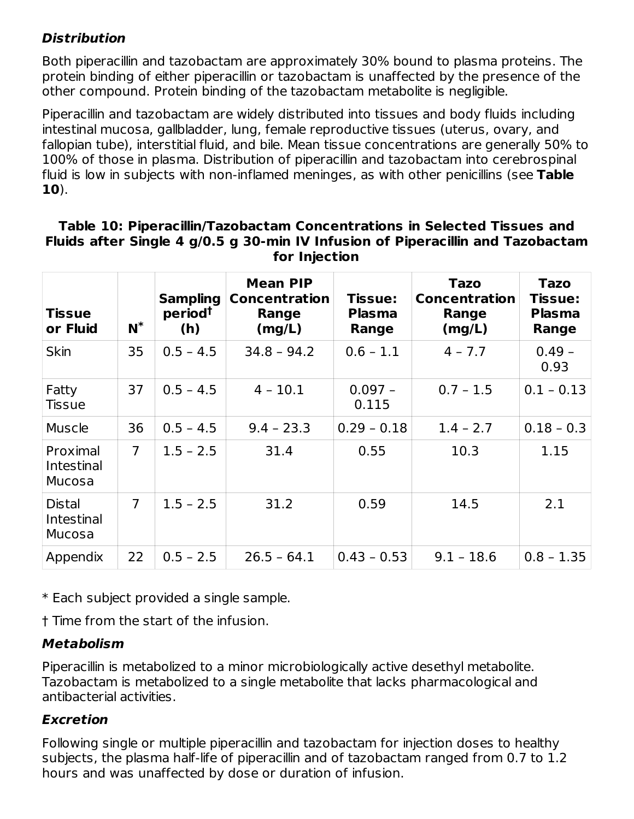### **Distribution**

Both piperacillin and tazobactam are approximately 30% bound to plasma proteins. The protein binding of either piperacillin or tazobactam is unaffected by the presence of the other compound. Protein binding of the tazobactam metabolite is negligible.

Piperacillin and tazobactam are widely distributed into tissues and body fluids including intestinal mucosa, gallbladder, lung, female reproductive tissues (uterus, ovary, and fallopian tube), interstitial fluid, and bile. Mean tissue concentrations are generally 50% to 100% of those in plasma. Distribution of piperacillin and tazobactam into cerebrospinal fluid is low in subjects with non-inflamed meninges, as with other penicillins (see **Table 10**).

#### **Table 10: Piperacillin/Tazobactam Concentrations in Selected Tissues and Fluids after Single 4 g/0.5 g 30-min IV Infusion of Piperacillin and Tazobactam for Injection**

| <b>Tissue</b><br>or Fluid             | $N^*$          | <b>Sampling</b><br>period <sup>t</sup><br>(h) | <b>Mean PIP</b><br><b>Concentration</b><br>Range<br>(mg/L) | Tissue:<br><b>Plasma</b><br>Range | <b>Tazo</b><br><b>Concentration</b><br>Range<br>(mg/L) | <b>Tazo</b><br><b>Tissue:</b><br><b>Plasma</b><br>Range |
|---------------------------------------|----------------|-----------------------------------------------|------------------------------------------------------------|-----------------------------------|--------------------------------------------------------|---------------------------------------------------------|
| <b>Skin</b>                           | 35             | $0.5 - 4.5$                                   | $34.8 - 94.2$                                              | $0.6 - 1.1$                       | $4 - 7.7$                                              | $0.49 -$<br>0.93                                        |
| Fatty<br><b>Tissue</b>                | 37             | $0.5 - 4.5$                                   | $4 - 10.1$                                                 | $0.097 -$<br>0.115                | $0.7 - 1.5$                                            | $0.1 - 0.13$                                            |
| <b>Muscle</b>                         | 36             | $0.5 - 4.5$                                   | $9.4 - 23.3$                                               | $0.29 - 0.18$                     | $1.4 - 2.7$                                            | $0.18 - 0.3$                                            |
| Proximal<br>Intestinal<br>Mucosa      | $\overline{7}$ | $1.5 - 2.5$                                   | 31.4                                                       | 0.55                              | 10.3                                                   | 1.15                                                    |
| Distal<br><b>Intestinal</b><br>Mucosa | $\overline{7}$ | $1.5 - 2.5$                                   | 31.2                                                       | 0.59                              | 14.5                                                   | 2.1                                                     |
| Appendix                              | 22             | $0.5 - 2.5$                                   | $26.5 - 64.1$                                              | $0.43 - 0.53$                     | $9.1 - 18.6$                                           | $0.8 - 1.35$                                            |

\* Each subject provided a single sample.

† Time from the start of the infusion.

### **Metabolism**

Piperacillin is metabolized to a minor microbiologically active desethyl metabolite. Tazobactam is metabolized to a single metabolite that lacks pharmacological and antibacterial activities.

### **Excretion**

Following single or multiple piperacillin and tazobactam for injection doses to healthy subjects, the plasma half-life of piperacillin and of tazobactam ranged from 0.7 to 1.2 hours and was unaffected by dose or duration of infusion.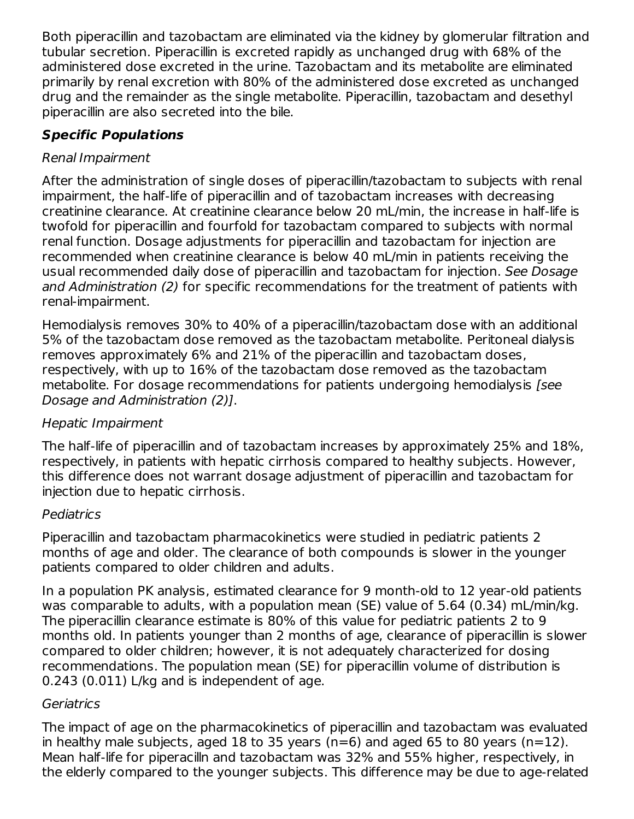Both piperacillin and tazobactam are eliminated via the kidney by glomerular filtration and tubular secretion. Piperacillin is excreted rapidly as unchanged drug with 68% of the administered dose excreted in the urine. Tazobactam and its metabolite are eliminated primarily by renal excretion with 80% of the administered dose excreted as unchanged drug and the remainder as the single metabolite. Piperacillin, tazobactam and desethyl piperacillin are also secreted into the bile.

# **Specific Populations**

### Renal Impairment

After the administration of single doses of piperacillin/tazobactam to subjects with renal impairment, the half-life of piperacillin and of tazobactam increases with decreasing creatinine clearance. At creatinine clearance below 20 mL/min, the increase in half-life is twofold for piperacillin and fourfold for tazobactam compared to subjects with normal renal function. Dosage adjustments for piperacillin and tazobactam for injection are recommended when creatinine clearance is below 40 mL/min in patients receiving the usual recommended daily dose of piperacillin and tazobactam for injection. See Dosage and Administration (2) for specific recommendations for the treatment of patients with renal-impairment.

Hemodialysis removes 30% to 40% of a piperacillin/tazobactam dose with an additional 5% of the tazobactam dose removed as the tazobactam metabolite. Peritoneal dialysis removes approximately 6% and 21% of the piperacillin and tazobactam doses, respectively, with up to 16% of the tazobactam dose removed as the tazobactam metabolite. For dosage recommendations for patients undergoing hemodialysis [see Dosage and Administration (2)].

# Hepatic Impairment

The half-life of piperacillin and of tazobactam increases by approximately 25% and 18%, respectively, in patients with hepatic cirrhosis compared to healthy subjects. However, this difference does not warrant dosage adjustment of piperacillin and tazobactam for injection due to hepatic cirrhosis.

### Pediatrics

Piperacillin and tazobactam pharmacokinetics were studied in pediatric patients 2 months of age and older. The clearance of both compounds is slower in the younger patients compared to older children and adults.

In a population PK analysis, estimated clearance for 9 month-old to 12 year-old patients was comparable to adults, with a population mean (SE) value of 5.64 (0.34) mL/min/kg. The piperacillin clearance estimate is 80% of this value for pediatric patients 2 to 9 months old. In patients younger than 2 months of age, clearance of piperacillin is slower compared to older children; however, it is not adequately characterized for dosing recommendations. The population mean (SE) for piperacillin volume of distribution is 0.243 (0.011) L/kg and is independent of age.

### **Geriatrics**

The impact of age on the pharmacokinetics of piperacillin and tazobactam was evaluated in healthy male subjects, aged 18 to 35 years ( $n=6$ ) and aged 65 to 80 years ( $n=12$ ). Mean half-life for piperacilln and tazobactam was 32% and 55% higher, respectively, in the elderly compared to the younger subjects. This difference may be due to age-related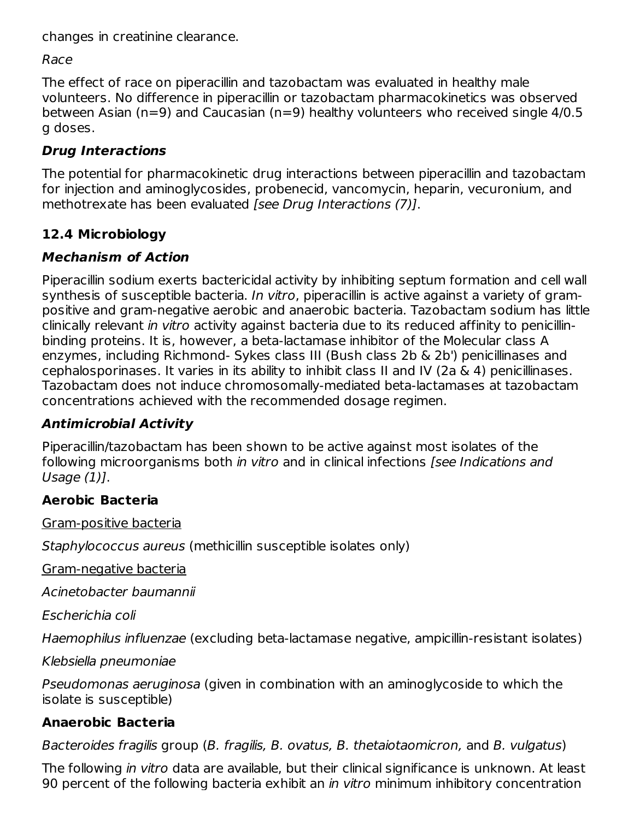changes in creatinine clearance.

Race

The effect of race on piperacillin and tazobactam was evaluated in healthy male volunteers. No difference in piperacillin or tazobactam pharmacokinetics was observed between Asian (n=9) and Caucasian (n=9) healthy volunteers who received single 4/0.5 g doses.

# **Drug Interactions**

The potential for pharmacokinetic drug interactions between piperacillin and tazobactam for injection and aminoglycosides, probenecid, vancomycin, heparin, vecuronium, and methotrexate has been evaluated [see Drug Interactions (7)].

# **12.4 Microbiology**

# **Mechanism of Action**

Piperacillin sodium exerts bactericidal activity by inhibiting septum formation and cell wall synthesis of susceptible bacteria. In vitro, piperacillin is active against a variety of grampositive and gram-negative aerobic and anaerobic bacteria. Tazobactam sodium has little clinically relevant in vitro activity against bacteria due to its reduced affinity to penicillinbinding proteins. It is, however, a beta-lactamase inhibitor of the Molecular class A enzymes, including Richmond- Sykes class III (Bush class 2b & 2b') penicillinases and cephalosporinases. It varies in its ability to inhibit class II and IV (2a & 4) penicillinases. Tazobactam does not induce chromosomally‑mediated beta-lactamases at tazobactam concentrations achieved with the recommended dosage regimen.

# **Antimicrobial Activity**

Piperacillin/tazobactam has been shown to be active against most isolates of the following microorganisms both in vitro and in clinical infections [see Indications and Usage (1)].

# **Aerobic Bacteria**

Gram-positive bacteria

Staphylococcus aureus (methicillin susceptible isolates only)

Gram-negative bacteria

Acinetobacter baumannii

Escherichia coli

Haemophilus influenzae (excluding beta-lactamase negative, ampicillin-resistant isolates)

Klebsiella pneumoniae

Pseudomonas aeruginosa (given in combination with an aminoglycoside to which the isolate is susceptible)

# **Anaerobic Bacteria**

Bacteroides fragilis group (B. fragilis, B. ovatus, B. thetaiotaomicron, and B. vulgatus)

The following in vitro data are available, but their clinical significance is unknown. At least 90 percent of the following bacteria exhibit an *in vitro* minimum inhibitory concentration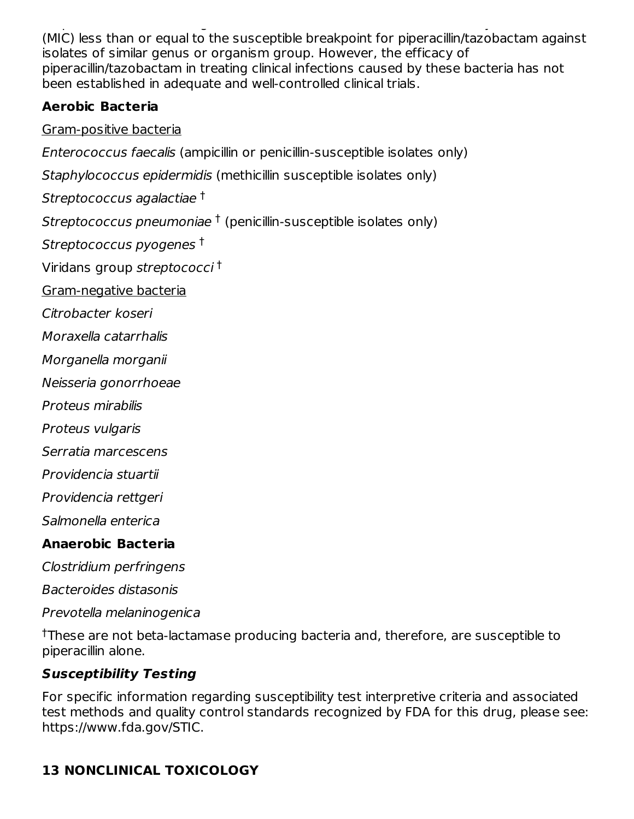90 percent of the following bacteria exhibit an in vitro minimum inhibitory concentration (MIC) less than or equal to the susceptible breakpoint for piperacillin/tazobactam against isolates of similar genus or organism group. However, the efficacy of piperacillin/tazobactam in treating clinical infections caused by these bacteria has not been established in adequate and well-controlled clinical trials.

# **Aerobic Bacteria**

# Gram-positive bacteria

Enterococcus faecalis (ampicillin or penicillin-susceptible isolates only)

Staphylococcus epidermidis (methicillin susceptible isolates only)

Streptococcus agalactiae †

Streptococcus pneumoniae  $\dagger$  (penicillin-susceptible isolates only)

Streptococcus pyogenes †

Viridans group streptococci †

Gram-negative bacteria

Citrobacter koseri

Moraxella catarrhalis

Morganella morganii

Neisseria gonorrhoeae

Proteus mirabilis

Proteus vulgaris

Serratia marcescens

Providencia stuartii

Providencia rettgeri

Salmonella enterica

# **Anaerobic Bacteria**

Clostridium perfringens

Bacteroides distasonis

Prevotella melaninogenica

<sup>†</sup>These are not beta-lactamase producing bacteria and, therefore, are susceptible to piperacillin alone.

# **Susceptibility Testing**

For specific information regarding susceptibility test interpretive criteria and associated test methods and quality control standards recognized by FDA for this drug, please see: https://www.fda.gov/STIC.

# **13 NONCLINICAL TOXICOLOGY**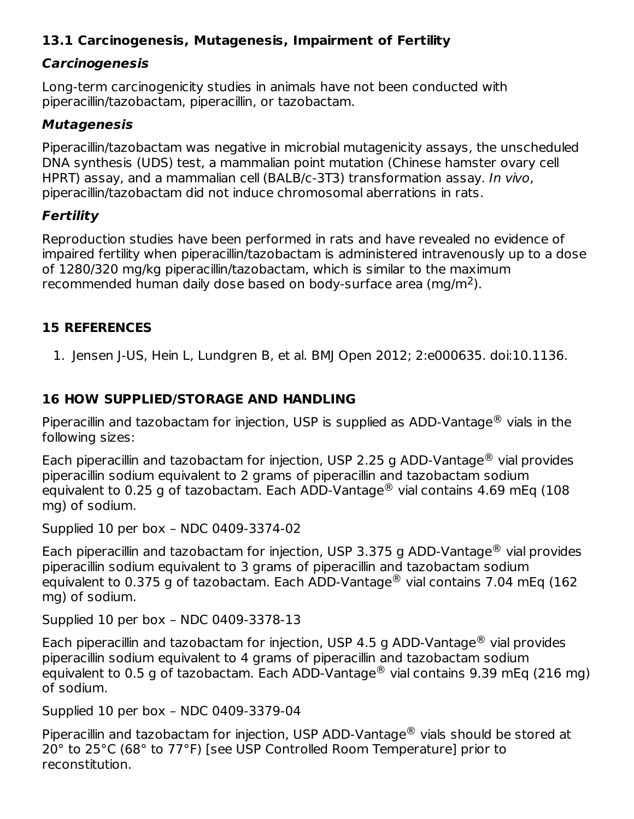### **13.1 Carcinogenesis, Mutagenesis, Impairment of Fertility**

#### **Carcinogenesis**

Long-term carcinogenicity studies in animals have not been conducted with piperacillin/tazobactam, piperacillin, or tazobactam.

#### **Mutagenesis**

Piperacillin/tazobactam was negative in microbial mutagenicity assays, the unscheduled DNA synthesis (UDS) test, a mammalian point mutation (Chinese hamster ovary cell HPRT) assay, and a mammalian cell (BALB/c-3T3) transformation assay. In vivo, piperacillin/tazobactam did not induce chromosomal aberrations in rats.

#### **Fertility**

Reproduction studies have been performed in rats and have revealed no evidence of impaired fertility when piperacillin/tazobactam is administered intravenously up to a dose of 1280/320 mg/kg piperacillin/tazobactam, which is similar to the maximum recommended human daily dose based on body-surface area (mg/m<sup>2</sup>).

### **15 REFERENCES**

1. Jensen J-US, Hein L, Lundgren B, et al. BMJ Open 2012; 2:e000635. doi:10.1136.

### **16 HOW SUPPLIED/STORAGE AND HANDLING**

Piperacillin and tazobactam for injection, USP is supplied as ADD-Vantage $^{\circledR}$  vials in the following sizes:

Each piperacillin and tazobactam for injection, USP 2.25 g ADD-Vantage $^{\circledR}$  vial provides piperacillin sodium equivalent to 2 grams of piperacillin and tazobactam sodium equivalent to 0.25 g of tazobactam. Each ADD-Vantage $^\circledR$  vial contains 4.69 mEq (108 mg) of sodium.

Supplied 10 per box – NDC 0409-3374-02

Each piperacillin and tazobactam for injection, USP 3.375 g ADD-Vantage $^{\circledR}$  vial provides piperacillin sodium equivalent to 3 grams of piperacillin and tazobactam sodium equivalent to 0.375 g of tazobactam. Each ADD-Vantage $^{\circledR}$  vial contains 7.04 mEq (162 mg) of sodium.

Supplied 10 per box – NDC 0409-3378-13

Each piperacillin and tazobactam for injection, USP 4.5 g ADD-Vantage $^{\circledR}$  vial provides piperacillin sodium equivalent to 4 grams of piperacillin and tazobactam sodium equivalent to 0.5 g of tazobactam. Each ADD-Vantage $^\circledR$  vial contains 9.39 mEq (216 mg) of sodium.

Supplied 10 per box – NDC 0409-3379-04

Piperacillin and tazobactam for injection, USP ADD-Vantage $^{\circledR}$  vials should be stored at 20° to 25°C (68° to 77°F) [see USP Controlled Room Temperature] prior to reconstitution.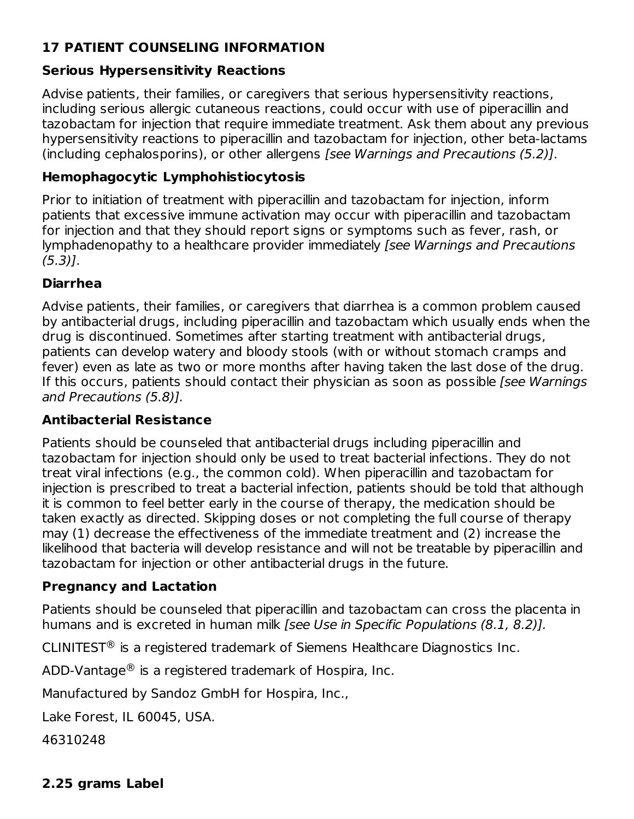# **17 PATIENT COUNSELING INFORMATION**

#### **Serious Hypersensitivity Reactions**

Advise patients, their families, or caregivers that serious hypersensitivity reactions, including serious allergic cutaneous reactions, could occur with use of piperacillin and tazobactam for injection that require immediate treatment. Ask them about any previous hypersensitivity reactions to piperacillin and tazobactam for injection, other beta-lactams (including cephalosporins), or other allergens [see Warnings and Precautions (5.2)].

#### **Hemophagocytic Lymphohistiocytosis**

Prior to initiation of treatment with piperacillin and tazobactam for injection, inform patients that excessive immune activation may occur with piperacillin and tazobactam for injection and that they should report signs or symptoms such as fever, rash, or lymphadenopathy to a healthcare provider immediately [see Warnings and Precautions (5.3)].

#### **Diarrhea**

Advise patients, their families, or caregivers that diarrhea is a common problem caused by antibacterial drugs, including piperacillin and tazobactam which usually ends when the drug is discontinued. Sometimes after starting treatment with antibacterial drugs, patients can develop watery and bloody stools (with or without stomach cramps and fever) even as late as two or more months after having taken the last dose of the drug. If this occurs, patients should contact their physician as soon as possible [see Warnings] and Precautions (5.8)].

#### **Antibacterial Resistance**

Patients should be counseled that antibacterial drugs including piperacillin and tazobactam for injection should only be used to treat bacterial infections. They do not treat viral infections (e.g., the common cold). When piperacillin and tazobactam for injection is prescribed to treat a bacterial infection, patients should be told that although it is common to feel better early in the course of therapy, the medication should be taken exactly as directed. Skipping doses or not completing the full course of therapy may (1) decrease the effectiveness of the immediate treatment and (2) increase the likelihood that bacteria will develop resistance and will not be treatable by piperacillin and tazobactam for injection or other antibacterial drugs in the future.

#### **Pregnancy and Lactation**

Patients should be counseled that piperacillin and tazobactam can cross the placenta in humans and is excreted in human milk [see Use in Specific Populations (8.1, 8.2)].

CLINITEST $\mathcal{P}$  is a registered trademark of Siemens Healthcare Diagnostics Inc.

 $\mathsf{ADD\text{-}V}$ antage $^\circledR$  is a registered trademark of Hospira, Inc.

Manufactured by Sandoz GmbH for Hospira, Inc.,

Lake Forest, IL 60045, USA.

46310248

#### **2.25 grams Label**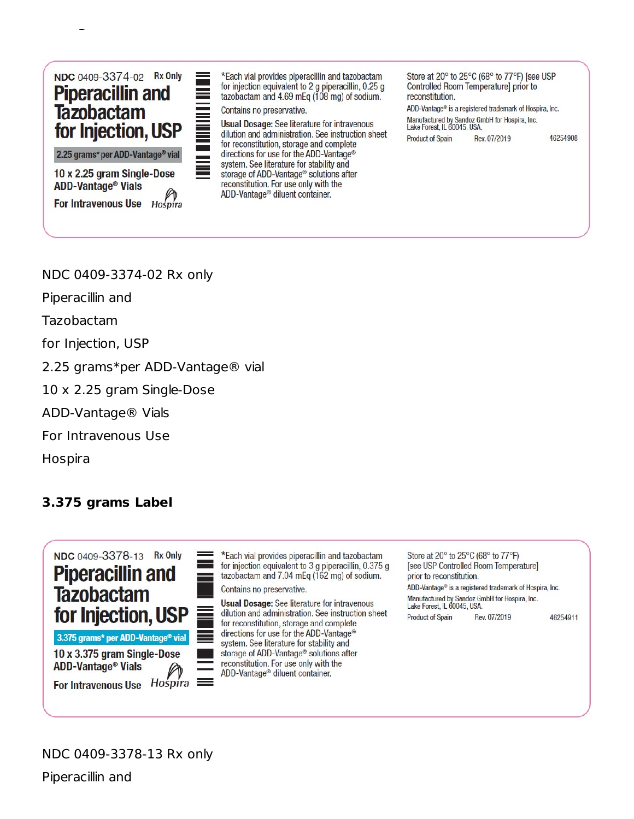

For Intravenous Use Hospira

**2.25 grams Label**

\*Each vial provides piperacillin and tazobactam for injection equivalent to 2 g piperacillin, 0.25 g tazobactam and 4.69 mEq (108 mg) of sodium.

Contains no preservative.

**Usual Dosage: See literature for intravenous** dilution and administration. See instruction sheet for reconstitution, storage and complete directions for use for the ADD-Vantage® system. See literature for stability and storage of ADD-Vantage<sup>®</sup> solutions after reconstitution. For use only with the ADD-Vantage<sup>®</sup> diluent container.

Store at 20° to 25°C (68° to 77°F) [see USP Controlled Room Temperature] prior to reconstitution.

ADD-Vantage® is a registered trademark of Hospira, Inc. Manufactured by Sandoz GmbH for Hospira, Inc.<br>Lake Forest, IL 60045, USA. 46254908 **Product of Spain** Rev. 07/2019

NDC 0409-3374-02 Rx only

Piperacillin and

**ADD-Vantage<sup>®</sup> Vials** 

Tazobactam

for Injection, USP

2.25 grams\*per ADD-Vantage® vial

10 x 2.25 gram Single-Dose

ADD-Vantage® Vials

For Intravenous Use

Hospira

# **3.375 grams Label**



\*Each vial provides piperacillin and tazobactam for injection equivalent to 3 q piperacillin, 0.375 q tazobactam and 7.04 mEq (162 mg) of sodium. Contains no preservative.

**Usual Dosage:** See literature for intravenous dilution and administration. See instruction sheet for reconstitution, storage and complete directions for use for the ADD-Vantage® system. See literature for stability and storage of ADD-Vantage® solutions after reconstitution. For use only with the ADD-Vantage® diluent container.

Store at 20° to 25°C (68° to 77°F) [see USP Controlled Room Temperature] prior to reconstitution. ADD-Vantage® is a registered trademark of Hospira, Inc. Manufactured by Sandoz GmbH for Hospira, Inc. Lake Forest, IL 60045, USA. **Product of Spain** Rev. 07/2019 46254911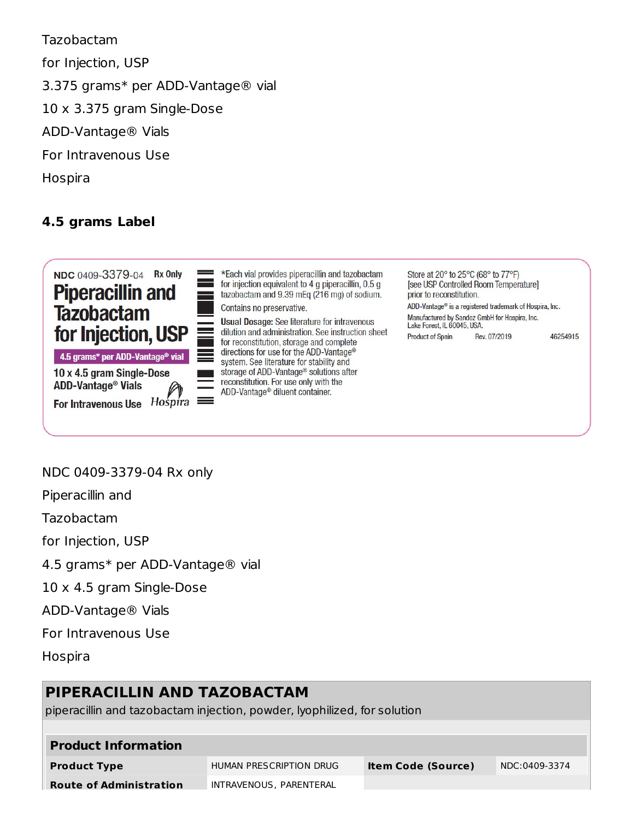Tazobactam for Injection, USP 3.375 grams\* per ADD-Vantage® vial 10 x 3.375 gram Single-Dose ADD-Vantage® Vials For Intravenous Use Hospira

### **4.5 grams Label**



4.5 grams\* per ADD-Vantage® vial

10 x 4.5 gram Single-Dose ADD-Vantage<sup>®</sup> Vials

For Intravenous Use  $H$ ospira  $\equiv$ 

\*Each vial provides piperacillin and tazobactam for injection equivalent to 4 g piperacillin, 0.5 g tazobactam and 9.39 mEq (216 mg) of sodium. Contains no preservative.

**Usual Dosage:** See literature for intravenous dilution and administration. See instruction sheet for reconstitution, storage and complete directions for use for the ADD-Vantage® system. See literature for stability and storage of ADD-Vantage® solutions after reconstitution. For use only with the ADD-Vantage® diluent container.

Store at 20° to 25°C (68° to 77°F) [see USP Controlled Room Temperature] prior to reconstitution. ADD-Vantage® is a registered trademark of Hospira, Inc.

Manufactured by Sandoz GmbH for Hospira, Inc. Lake Forest, IL 60045, USA. Rev. 07/2019 **Product of Spain** 

46254915

#### NDC 0409-3379-04 Rx only

Piperacillin and

Tazobactam

for Injection, USP

4.5 grams\* per ADD-Vantage® vial

10 x 4.5 gram Single-Dose

ADD-Vantage® Vials

For Intravenous Use

**Hospira** 

# **PIPERACILLIN AND TAZOBACTAM**

piperacillin and tazobactam injection, powder, lyophilized, for solution

| <b>Product Information</b>     |                         |                           |               |  |  |  |  |
|--------------------------------|-------------------------|---------------------------|---------------|--|--|--|--|
| <b>Product Type</b>            | HUMAN PRESCRIPTION DRUG | <b>Item Code (Source)</b> | NDC:0409-3374 |  |  |  |  |
| <b>Route of Administration</b> | INTRAVENOUS, PARENTERAL |                           |               |  |  |  |  |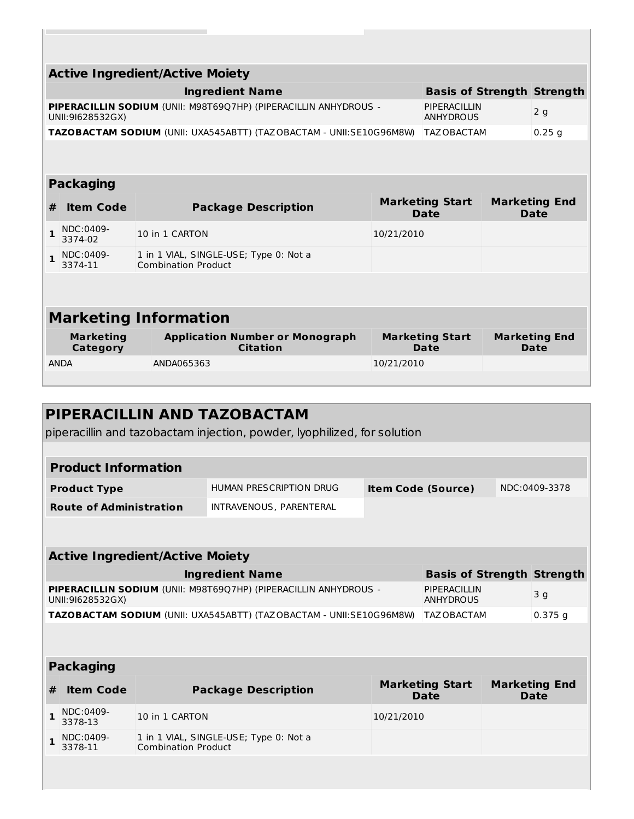| <b>Active Ingredient/Active Moiety</b>                                                                                         |                                                             |                                                                      |            |                                       |  |                                     |  |  |
|--------------------------------------------------------------------------------------------------------------------------------|-------------------------------------------------------------|----------------------------------------------------------------------|------------|---------------------------------------|--|-------------------------------------|--|--|
|                                                                                                                                | <b>Basis of Strength Strength</b><br><b>Ingredient Name</b> |                                                                      |            |                                       |  |                                     |  |  |
| PIPERACILLIN SODIUM (UNII: M98T6907HP) (PIPERACILLIN ANHYDROUS -<br>PIPERACILLIN<br>2q<br>UNII:91628532GX)<br><b>ANHYDROUS</b> |                                                             |                                                                      |            |                                       |  |                                     |  |  |
|                                                                                                                                |                                                             | TAZOBACTAM SODIUM (UNII: UXA545ABTT) (TAZOBACTAM - UNII:SE10G96M8W)  |            | TAZ OBACTAM                           |  | $0.25$ g                            |  |  |
|                                                                                                                                |                                                             |                                                                      |            |                                       |  |                                     |  |  |
|                                                                                                                                | <b>Packaging</b>                                            |                                                                      |            |                                       |  |                                     |  |  |
| #                                                                                                                              | <b>Item Code</b>                                            | <b>Package Description</b>                                           |            | <b>Marketing Start</b><br><b>Date</b> |  | <b>Marketing End</b><br><b>Date</b> |  |  |
| 1                                                                                                                              | NDC:0409-<br>3374-02                                        | 10 in 1 CARTON                                                       | 10/21/2010 |                                       |  |                                     |  |  |
| $\mathbf{1}$                                                                                                                   | NDC:0409-<br>3374-11                                        | 1 in 1 VIAL, SINGLE-USE; Type 0: Not a<br><b>Combination Product</b> |            |                                       |  |                                     |  |  |
|                                                                                                                                |                                                             |                                                                      |            |                                       |  |                                     |  |  |
| <b>Marketing Information</b>                                                                                                   |                                                             |                                                                      |            |                                       |  |                                     |  |  |
|                                                                                                                                | <b>Marketing</b><br><b>Category</b>                         | <b>Application Number or Monograph</b><br><b>Citation</b>            |            | <b>Marketing Start</b><br>Date        |  | <b>Marketing End</b><br>Date        |  |  |
|                                                                                                                                | <b>ANDA</b>                                                 | ANDA065363                                                           | 10/21/2010 |                                       |  |                                     |  |  |

 $\overline{\mathbb{R}}$ 

**Route of Administration**

|   | PIPERACILLIN AND TAZOBACTAM<br>piperacillin and tazobactam injection, powder, lyophilized, for solution |                                        |                                                                     |                           |                                       |  |                                     |  |  |
|---|---------------------------------------------------------------------------------------------------------|----------------------------------------|---------------------------------------------------------------------|---------------------------|---------------------------------------|--|-------------------------------------|--|--|
|   |                                                                                                         |                                        |                                                                     |                           |                                       |  |                                     |  |  |
|   | <b>Product Information</b>                                                                              |                                        |                                                                     |                           |                                       |  |                                     |  |  |
|   | <b>Product Type</b>                                                                                     |                                        | HUMAN PRESCRIPTION DRUG                                             | <b>Item Code (Source)</b> |                                       |  | NDC:0409-3378                       |  |  |
|   | <b>Route of Administration</b>                                                                          |                                        | INTRAVENOUS, PARENTERAL                                             |                           |                                       |  |                                     |  |  |
|   |                                                                                                         |                                        |                                                                     |                           |                                       |  |                                     |  |  |
|   |                                                                                                         |                                        |                                                                     |                           |                                       |  |                                     |  |  |
|   |                                                                                                         | <b>Active Ingredient/Active Moiety</b> |                                                                     |                           |                                       |  |                                     |  |  |
|   |                                                                                                         |                                        | <b>Ingredient Name</b>                                              |                           | <b>Basis of Strength Strength</b>     |  |                                     |  |  |
|   | UNII:91628532GX)                                                                                        |                                        | PIPERACILLIN SODIUM (UNII: M98T6907HP) (PIPERACILLIN ANHYDROUS -    |                           | PIPERACILLIN<br><b>ANHYDROUS</b>      |  | 3 g                                 |  |  |
|   |                                                                                                         |                                        | TAZOBACTAM SODIUM (UNII: UXA545ABTT) (TAZOBACTAM - UNII:SE10G96M8W) |                           | TAZ OBACTAM                           |  | $0.375$ q                           |  |  |
|   |                                                                                                         |                                        |                                                                     |                           |                                       |  |                                     |  |  |
|   | <b>Packaging</b>                                                                                        |                                        |                                                                     |                           |                                       |  |                                     |  |  |
| # | <b>Item Code</b>                                                                                        |                                        | <b>Package Description</b>                                          |                           | <b>Marketing Start</b><br><b>Date</b> |  | <b>Marketing End</b><br><b>Date</b> |  |  |
| 1 | NDC:0409-<br>3378-13                                                                                    | 10 in 1 CARTON                         |                                                                     | 10/21/2010                |                                       |  |                                     |  |  |
|   | NDC:0409-<br>3378-11                                                                                    | <b>Combination Product</b>             | 1 in 1 VIAL, SINGLE-USE; Type 0: Not a                              |                           |                                       |  |                                     |  |  |
|   |                                                                                                         |                                        |                                                                     |                           |                                       |  |                                     |  |  |